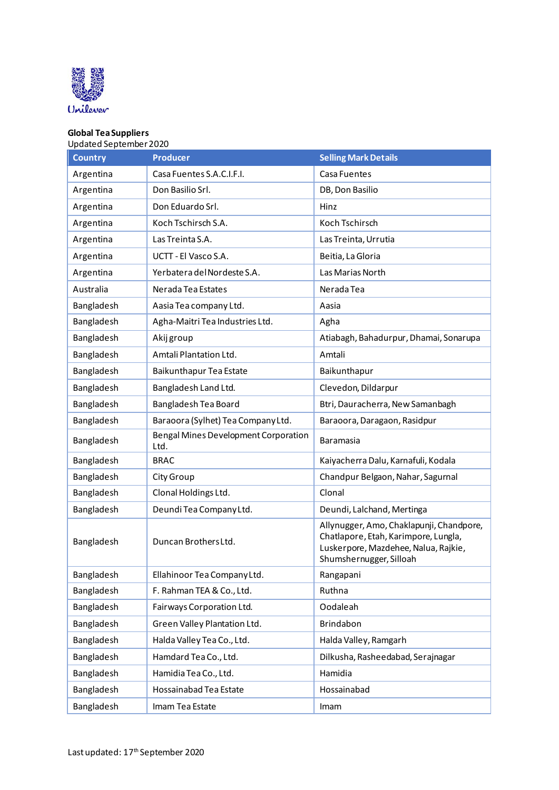

## **Global Tea Suppliers** Updated September 2020

| <b>Country</b> | <b>Producer</b>                              | <b>Selling Mark Details</b>                                                                                                                         |
|----------------|----------------------------------------------|-----------------------------------------------------------------------------------------------------------------------------------------------------|
| Argentina      | Casa Fuentes S.A.C.I.F.I.                    | Casa Fuentes                                                                                                                                        |
| Argentina      | Don Basilio Srl.                             | DB, Don Basilio                                                                                                                                     |
| Argentina      | Don Eduardo Srl.                             | Hinz                                                                                                                                                |
| Argentina      | Koch Tschirsch S.A.                          | Koch Tschirsch                                                                                                                                      |
| Argentina      | Las Treinta S.A.                             | Las Treinta, Urrutia                                                                                                                                |
| Argentina      | UCTT - El Vasco S.A.                         | Beitia, La Gloria                                                                                                                                   |
| Argentina      | Yerbatera del Nordeste S.A.                  | Las Marias North                                                                                                                                    |
| Australia      | Nerada Tea Estates                           | Nerada Tea                                                                                                                                          |
| Bangladesh     | Aasia Tea company Ltd.                       | Aasia                                                                                                                                               |
| Bangladesh     | Agha-Maitri Tea Industries Ltd.              | Agha                                                                                                                                                |
| Bangladesh     | Akij group                                   | Atiabagh, Bahadurpur, Dhamai, Sonarupa                                                                                                              |
| Bangladesh     | Amtali Plantation Ltd.                       | Amtali                                                                                                                                              |
| Bangladesh     | Baikunthapur Tea Estate                      | Baikunthapur                                                                                                                                        |
| Bangladesh     | Bangladesh Land Ltd.                         | Clevedon, Dildarpur                                                                                                                                 |
| Bangladesh     | Bangladesh Tea Board                         | Btri, Dauracherra, New Samanbagh                                                                                                                    |
| Bangladesh     | Baraoora (Sylhet) Tea Company Ltd.           | Baraoora, Daragaon, Rasidpur                                                                                                                        |
| Bangladesh     | Bengal Mines Development Corporation<br>Ltd. | Baramasia                                                                                                                                           |
| Bangladesh     | <b>BRAC</b>                                  | Kaiyacherra Dalu, Karnafuli, Kodala                                                                                                                 |
| Bangladesh     | City Group                                   | Chandpur Belgaon, Nahar, Sagurnal                                                                                                                   |
| Bangladesh     | Clonal Holdings Ltd.                         | Clonal                                                                                                                                              |
| Bangladesh     | Deundi Tea Company Ltd.                      | Deundi, Lalchand, Mertinga                                                                                                                          |
| Bangladesh     | Duncan Brothers Ltd.                         | Allynugger, Amo, Chaklapunji, Chandpore,<br>Chatlapore, Etah, Karimpore, Lungla,<br>Luskerpore, Mazdehee, Nalua, Rajkie,<br>Shumshernugger, Silloah |
| Bangladesh     | Ellahinoor Tea Company Ltd.                  | Rangapani                                                                                                                                           |
| Bangladesh     | F. Rahman TEA & Co., Ltd.                    | Ruthna                                                                                                                                              |
| Bangladesh     | Fairways Corporation Ltd.                    | Oodaleah                                                                                                                                            |
| Bangladesh     | Green Valley Plantation Ltd.                 | Brindabon                                                                                                                                           |
| Bangladesh     | Halda Valley Tea Co., Ltd.                   | Halda Valley, Ramgarh                                                                                                                               |
| Bangladesh     | Hamdard Tea Co., Ltd.                        | Dilkusha, Rasheedabad, Serajnagar                                                                                                                   |
| Bangladesh     | Hamidia Tea Co., Ltd.                        | Hamidia                                                                                                                                             |
| Bangladesh     | Hossainabad Tea Estate                       | Hossainabad                                                                                                                                         |
| Bangladesh     | Imam Tea Estate                              | Imam                                                                                                                                                |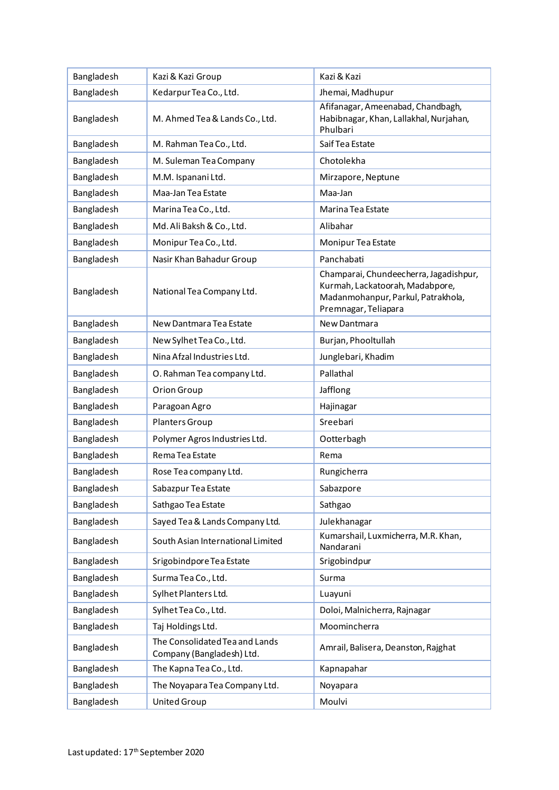| Bangladesh | Kazi & Kazi Group                                           | Kazi & Kazi                                                                                                                             |
|------------|-------------------------------------------------------------|-----------------------------------------------------------------------------------------------------------------------------------------|
| Bangladesh | Kedarpur Tea Co., Ltd.                                      | Jhemai, Madhupur                                                                                                                        |
| Bangladesh | M. Ahmed Tea & Lands Co., Ltd.                              | Afifanagar, Ameenabad, Chandbagh,<br>Habibnagar, Khan, Lallakhal, Nurjahan,<br>Phulbari                                                 |
| Bangladesh | M. Rahman Tea Co., Ltd.                                     | Saif Tea Estate                                                                                                                         |
| Bangladesh | M. Suleman Tea Company                                      | Chotolekha                                                                                                                              |
| Bangladesh | M.M. Ispanani Ltd.                                          | Mirzapore, Neptune                                                                                                                      |
| Bangladesh | Maa-Jan Tea Estate                                          | Maa-Jan                                                                                                                                 |
| Bangladesh | Marina Tea Co., Ltd.                                        | Marina Tea Estate                                                                                                                       |
| Bangladesh | Md. Ali Baksh & Co., Ltd.                                   | Alibahar                                                                                                                                |
| Bangladesh | Monipur Tea Co., Ltd.                                       | Monipur Tea Estate                                                                                                                      |
| Bangladesh | Nasir Khan Bahadur Group                                    | Panchabati                                                                                                                              |
| Bangladesh | National Tea Company Ltd.                                   | Champarai, Chundeecherra, Jagadishpur,<br>Kurmah, Lackatoorah, Madabpore,<br>Madanmohanpur, Parkul, Patrakhola,<br>Premnagar, Teliapara |
| Bangladesh | New Dantmara Tea Estate                                     | New Dantmara                                                                                                                            |
| Bangladesh | New Sylhet Tea Co., Ltd.                                    | Burjan, Phooltullah                                                                                                                     |
| Bangladesh | Nina Afzal Industries Ltd.                                  | Junglebari, Khadim                                                                                                                      |
| Bangladesh | O. Rahman Tea company Ltd.                                  | Pallathal                                                                                                                               |
| Bangladesh | Orion Group                                                 | Jafflong                                                                                                                                |
| Bangladesh | Paragoan Agro                                               | Hajinagar                                                                                                                               |
| Bangladesh | Planters Group                                              | Sreebari                                                                                                                                |
| Bangladesh | Polymer Agros Industries Ltd.                               | Ootterbagh                                                                                                                              |
| Bangladesh | Rema Tea Estate                                             | Rema                                                                                                                                    |
| Bangladesh | Rose Tea company Ltd.                                       | Rungicherra                                                                                                                             |
| Bangladesh | Sabazpur Tea Estate                                         | Sabazpore                                                                                                                               |
| Bangladesh | Sathgao Tea Estate                                          | Sathgao                                                                                                                                 |
| Bangladesh | Sayed Tea & Lands Company Ltd.                              | Julekhanagar                                                                                                                            |
| Bangladesh | South Asian International Limited                           | Kumarshail, Luxmicherra, M.R. Khan,<br>Nandarani                                                                                        |
| Bangladesh | Srigobindpore Tea Estate                                    | Srigobindpur                                                                                                                            |
| Bangladesh | Surma Tea Co., Ltd.                                         | Surma                                                                                                                                   |
| Bangladesh | Sylhet Planters Ltd.                                        | Luayuni                                                                                                                                 |
| Bangladesh | Sylhet Tea Co., Ltd.                                        | Doloi, Malnicherra, Rajnagar                                                                                                            |
| Bangladesh | Taj Holdings Ltd.                                           | Moomincherra                                                                                                                            |
| Bangladesh | The Consolidated Tea and Lands<br>Company (Bangladesh) Ltd. | Amrail, Balisera, Deanston, Rajghat                                                                                                     |
| Bangladesh | The Kapna Tea Co., Ltd.                                     | Kapnapahar                                                                                                                              |
| Bangladesh | The Noyapara Tea Company Ltd.                               | Noyapara                                                                                                                                |
| Bangladesh | United Group                                                | Moulvi                                                                                                                                  |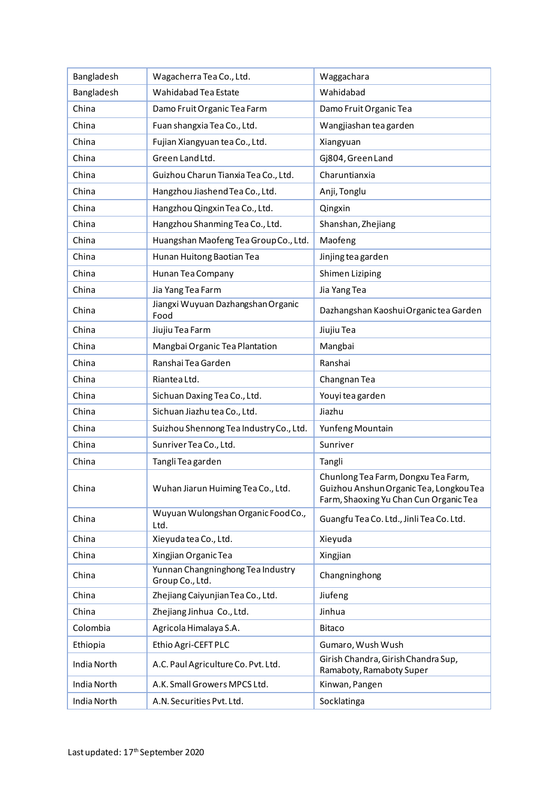| Bangladesh  | Wagacherra Tea Co., Ltd.                             | Waggachara                                                                                                               |
|-------------|------------------------------------------------------|--------------------------------------------------------------------------------------------------------------------------|
| Bangladesh  | Wahidabad Tea Estate                                 | Wahidabad                                                                                                                |
| China       | Damo Fruit Organic Tea Farm                          | Damo Fruit Organic Tea                                                                                                   |
| China       | Fuan shangxia Tea Co., Ltd.                          | Wangjiashan tea garden                                                                                                   |
| China       | Fujian Xiangyuan tea Co., Ltd.                       | Xiangyuan                                                                                                                |
| China       | Green Land Ltd.                                      | Gj804, Green Land                                                                                                        |
| China       | Guizhou Charun Tianxia Tea Co., Ltd.                 | Charuntianxia                                                                                                            |
| China       | Hangzhou Jiashend Tea Co., Ltd.                      | Anji, Tonglu                                                                                                             |
| China       | Hangzhou Qingxin Tea Co., Ltd.                       | Qingxin                                                                                                                  |
| China       | Hangzhou Shanming Tea Co., Ltd.                      | Shanshan, Zhejiang                                                                                                       |
| China       | Huangshan Maofeng Tea Group Co., Ltd.                | Maofeng                                                                                                                  |
| China       | Hunan Huitong Baotian Tea                            | Jinjing tea garden                                                                                                       |
| China       | Hunan Tea Company                                    | Shimen Liziping                                                                                                          |
| China       | Jia Yang Tea Farm                                    | Jia Yang Tea                                                                                                             |
| China       | Jiangxi Wuyuan Dazhangshan Organic<br>Food           | Dazhangshan Kaoshui Organic tea Garden                                                                                   |
| China       | Jiujiu Tea Farm                                      | Jiujiu Tea                                                                                                               |
| China       | Mangbai Organic Tea Plantation                       | Mangbai                                                                                                                  |
| China       | Ranshai Tea Garden                                   | Ranshai                                                                                                                  |
| China       | Riantea Ltd.                                         | Changnan Tea                                                                                                             |
| China       | Sichuan Daxing Tea Co., Ltd.                         | Youyi tea garden                                                                                                         |
| China       | Sichuan Jiazhu tea Co., Ltd.                         | Jiazhu                                                                                                                   |
| China       | Suizhou Shennong Tea Industry Co., Ltd.              | Yunfeng Mountain                                                                                                         |
| China       | Sunriver Tea Co., Ltd.                               | Sunriver                                                                                                                 |
| China       | Tangli Teagarden                                     | Tangli                                                                                                                   |
| China       | Wuhan Jiarun Huiming Tea Co., Ltd.                   | Chunlong Tea Farm, Dongxu Tea Farm,<br>Guizhou Anshun Organic Tea, Longkou Tea<br>Farm, Shaoxing Yu Chan Cun Organic Tea |
| China       | Wuyuan Wulongshan Organic Food Co.,<br>Ltd.          | Guangfu Tea Co. Ltd., Jinli Tea Co. Ltd.                                                                                 |
| China       | Xieyuda tea Co., Ltd.                                | Xieyuda                                                                                                                  |
| China       | Xingjian Organic Tea                                 | Xingjian                                                                                                                 |
| China       | Yunnan Changninghong Tea Industry<br>Group Co., Ltd. | Changninghong                                                                                                            |
| China       | Zhejiang Caiyunjian Tea Co., Ltd.                    | Jiufeng                                                                                                                  |
| China       | Zhejiang Jinhua Co., Ltd.                            | Jinhua                                                                                                                   |
| Colombia    | Agricola Himalaya S.A.                               | <b>Bitaco</b>                                                                                                            |
| Ethiopia    | Ethio Agri-CEFT PLC                                  | Gumaro, Wush Wush                                                                                                        |
| India North | A.C. Paul Agriculture Co. Pvt. Ltd.                  | Girish Chandra, Girish Chandra Sup,<br>Ramaboty, Ramaboty Super                                                          |
| India North | A.K. Small Growers MPCS Ltd.                         | Kinwan, Pangen                                                                                                           |
| India North | A.N. Securities Pvt. Ltd.                            | Socklatinga                                                                                                              |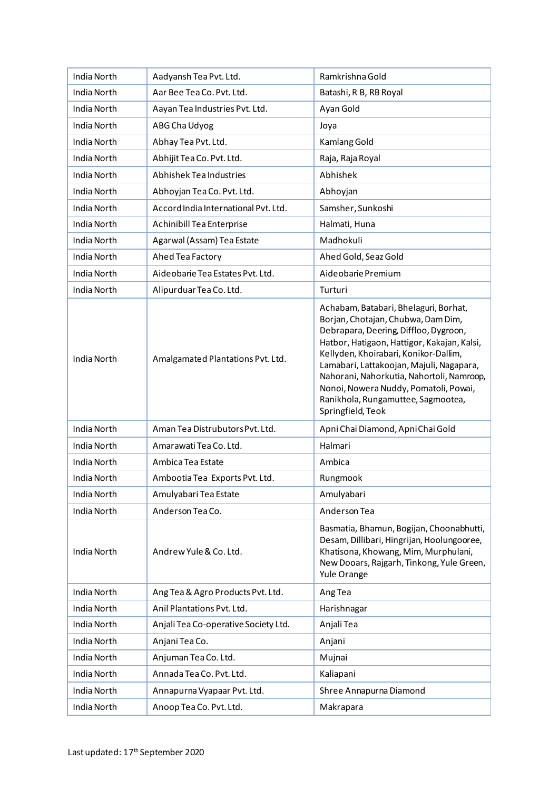| India North | Aadyansh Tea Pvt. Ltd.               | Ramkrishna Gold                                                                                                                                                                                                                                                                                                                                                                                           |
|-------------|--------------------------------------|-----------------------------------------------------------------------------------------------------------------------------------------------------------------------------------------------------------------------------------------------------------------------------------------------------------------------------------------------------------------------------------------------------------|
| India North | Aar Bee Tea Co. Pvt. Ltd.            | Batashi, R B, RB Royal                                                                                                                                                                                                                                                                                                                                                                                    |
| India North | Aayan Tea Industries Pvt. Ltd.       | Ayan Gold                                                                                                                                                                                                                                                                                                                                                                                                 |
| India North | ABG Cha Udyog                        | Joya                                                                                                                                                                                                                                                                                                                                                                                                      |
| India North | Abhay Tea Pvt. Ltd.                  | Kamlang Gold                                                                                                                                                                                                                                                                                                                                                                                              |
| India North | Abhijit Tea Co. Pvt. Ltd.            | Raja, Raja Royal                                                                                                                                                                                                                                                                                                                                                                                          |
| India North | Abhishek Tea Industries              | Abhishek                                                                                                                                                                                                                                                                                                                                                                                                  |
| India North | Abhoyjan Tea Co. Pvt. Ltd.           | Abhoyjan                                                                                                                                                                                                                                                                                                                                                                                                  |
| India North | Accord India International Pvt. Ltd. | Samsher, Sunkoshi                                                                                                                                                                                                                                                                                                                                                                                         |
| India North | Achinibill Tea Enterprise            | Halmati, Huna                                                                                                                                                                                                                                                                                                                                                                                             |
| India North | Agarwal (Assam) Tea Estate           | Madhokuli                                                                                                                                                                                                                                                                                                                                                                                                 |
| India North | Ahed Tea Factory                     | Ahed Gold, Seaz Gold                                                                                                                                                                                                                                                                                                                                                                                      |
| India North | Aideobarie Tea Estates Pvt. Ltd.     | Aideobarie Premium                                                                                                                                                                                                                                                                                                                                                                                        |
| India North | Alipurduar Tea Co. Ltd.              | Turturi                                                                                                                                                                                                                                                                                                                                                                                                   |
| India North | Amalgamated Plantations Pvt. Ltd.    | Achabam, Batabari, Bhelaguri, Borhat,<br>Borjan, Chotajan, Chubwa, Dam Dim,<br>Debrapara, Deering, Diffloo, Dygroon,<br>Hatbor, Hatigaon, Hattigor, Kakajan, Kalsi,<br>Kellyden, Khoirabari, Konikor-Dallim,<br>Lamabari, Lattakoojan, Majuli, Nagapara,<br>Nahorani, Nahorkutia, Nahortoli, Namroop,<br>Nonoi, Nowera Nuddy, Pomatoli, Powai,<br>Ranikhola, Rungamuttee, Sagmootea,<br>Springfield, Teok |
| India North | Aman Tea Distrubutors Pvt. Ltd.      | Apni Chai Diamond, Apni Chai Gold                                                                                                                                                                                                                                                                                                                                                                         |
| India North | Amarawati Tea Co. Ltd.               | Halmari                                                                                                                                                                                                                                                                                                                                                                                                   |
| India North | Ambica Tea Estate                    | Ambica                                                                                                                                                                                                                                                                                                                                                                                                    |
| India North | Ambootia Tea Exports Pvt. Ltd.       | Rungmook                                                                                                                                                                                                                                                                                                                                                                                                  |
| India North | Amulyabari Tea Estate                | Amulyabari                                                                                                                                                                                                                                                                                                                                                                                                |
| India North | Anderson Tea Co.                     | Anderson Tea                                                                                                                                                                                                                                                                                                                                                                                              |
| India North | Andrew Yule & Co. Ltd.               | Basmatia, Bhamun, Bogijan, Choonabhutti,<br>Desam, Dillibari, Hingrijan, Hoolungooree,<br>Khatisona, Khowang, Mim, Murphulani,<br>New Dooars, Rajgarh, Tinkong, Yule Green,<br>Yule Orange                                                                                                                                                                                                                |
| India North | Ang Tea & Agro Products Pvt. Ltd.    | Ang Tea                                                                                                                                                                                                                                                                                                                                                                                                   |
| India North | Anil Plantations Pvt. Ltd.           | Harishnagar                                                                                                                                                                                                                                                                                                                                                                                               |
| India North | Anjali Tea Co-operative Society Ltd. | Anjali Tea                                                                                                                                                                                                                                                                                                                                                                                                |
| India North | Anjani Tea Co.                       | Anjani                                                                                                                                                                                                                                                                                                                                                                                                    |
| India North | Anjuman Tea Co. Ltd.                 | Mujnai                                                                                                                                                                                                                                                                                                                                                                                                    |
| India North | Annada Tea Co. Pvt. Ltd.             | Kaliapani                                                                                                                                                                                                                                                                                                                                                                                                 |
| India North | Annapurna Vyapaar Pvt. Ltd.          | Shree Annapurna Diamond                                                                                                                                                                                                                                                                                                                                                                                   |
| India North | Anoop Tea Co. Pvt. Ltd.              | Makrapara                                                                                                                                                                                                                                                                                                                                                                                                 |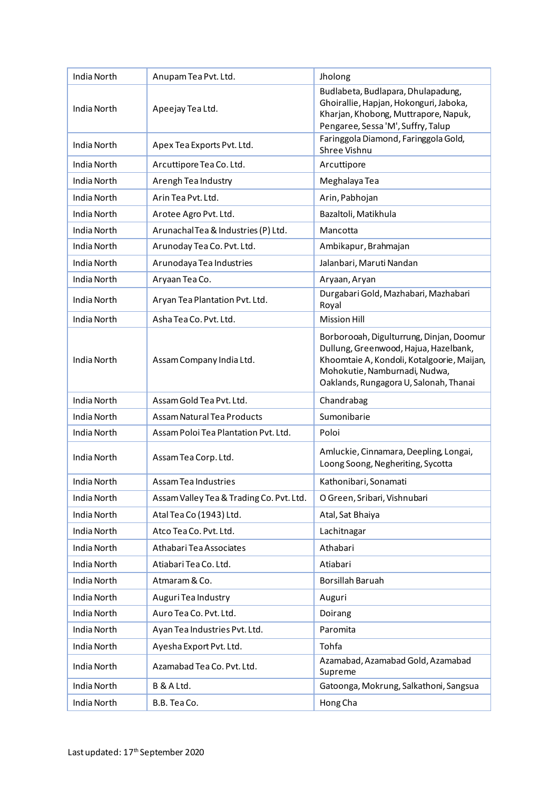| India North | Anupam Tea Pvt. Ltd.                     | Jholong                                                                                                                                                                                                    |
|-------------|------------------------------------------|------------------------------------------------------------------------------------------------------------------------------------------------------------------------------------------------------------|
| India North | Apeejay Tea Ltd.                         | Budlabeta, Budlapara, Dhulapadung,<br>Ghoirallie, Hapjan, Hokonguri, Jaboka,<br>Kharjan, Khobong, Muttrapore, Napuk,<br>Pengaree, Sessa 'M', Suffry, Talup                                                 |
| India North | Apex Tea Exports Pvt. Ltd.               | Faringgola Diamond, Faringgola Gold,<br>Shree Vishnu                                                                                                                                                       |
| India North | Arcuttipore Tea Co. Ltd.                 | Arcuttipore                                                                                                                                                                                                |
| India North | Arengh Tea Industry                      | Meghalaya Tea                                                                                                                                                                                              |
| India North | Arin Tea Pvt. Ltd.                       | Arin, Pabhojan                                                                                                                                                                                             |
| India North | Arotee Agro Pvt. Ltd.                    | Bazaltoli, Matikhula                                                                                                                                                                                       |
| India North | Arunachal Tea & Industries (P) Ltd.      | Mancotta                                                                                                                                                                                                   |
| India North | Arunoday Tea Co. Pvt. Ltd.               | Ambikapur, Brahmajan                                                                                                                                                                                       |
| India North | Arunodaya Tea Industries                 | Jalanbari, Maruti Nandan                                                                                                                                                                                   |
| India North | Aryaan Tea Co.                           | Aryaan, Aryan                                                                                                                                                                                              |
| India North | Aryan Tea Plantation Pvt. Ltd.           | Durgabari Gold, Mazhabari, Mazhabari<br>Royal                                                                                                                                                              |
| India North | Asha Tea Co. Pvt. Ltd.                   | <b>Mission Hill</b>                                                                                                                                                                                        |
| India North | Assam Company India Ltd.                 | Borborooah, Digulturrung, Dinjan, Doomur<br>Dullung, Greenwood, Hajua, Hazelbank,<br>Khoomtaie A, Kondoli, Kotalgoorie, Maijan,<br>Mohokutie, Namburnadi, Nudwa,<br>Oaklands, Rungagora U, Salonah, Thanai |
| India North | Assam Gold Tea Pyt. Ltd.                 | Chandrabag                                                                                                                                                                                                 |
| India North | Assam Natural Tea Products               | Sumonibarie                                                                                                                                                                                                |
| India North | Assam Poloi Tea Plantation Pvt. Ltd.     | Poloi                                                                                                                                                                                                      |
| India North | Assam Tea Corp. Ltd.                     | Amluckie, Cinnamara, Deepling, Longai,<br>Loong Soong, Negheriting, Sycotta                                                                                                                                |
| India North | Assam Tea Industries                     | Kathonibari, Sonamati                                                                                                                                                                                      |
| India North | Assam Valley Tea & Trading Co. Pvt. Ltd. | O Green, Sribari, Vishnubari                                                                                                                                                                               |
| India North | Atal Tea Co (1943) Ltd.                  | Atal, Sat Bhaiya                                                                                                                                                                                           |
| India North | Atco Tea Co. Pvt. Ltd.                   | Lachitnagar                                                                                                                                                                                                |
| India North | Athabari Tea Associates                  | Athabari                                                                                                                                                                                                   |
| India North | Atiabari Tea Co. Ltd.                    | Atiabari                                                                                                                                                                                                   |
| India North | Atmaram & Co.                            | Borsillah Baruah                                                                                                                                                                                           |
| India North | Auguri Tea Industry                      | Auguri                                                                                                                                                                                                     |
| India North | Auro Tea Co. Pvt. Ltd.                   | Doirang                                                                                                                                                                                                    |
| India North | Ayan Tea Industries Pvt. Ltd.            | Paromita                                                                                                                                                                                                   |
| India North | Ayesha Export Pvt. Ltd.                  | Tohfa                                                                                                                                                                                                      |
| India North | Azamabad Tea Co. Pvt. Ltd.               | Azamabad, Azamabad Gold, Azamabad<br>Supreme                                                                                                                                                               |
| India North | B & A Ltd.                               | Gatoonga, Mokrung, Salkathoni, Sangsua                                                                                                                                                                     |
| India North | B.B. Tea Co.                             | Hong Cha                                                                                                                                                                                                   |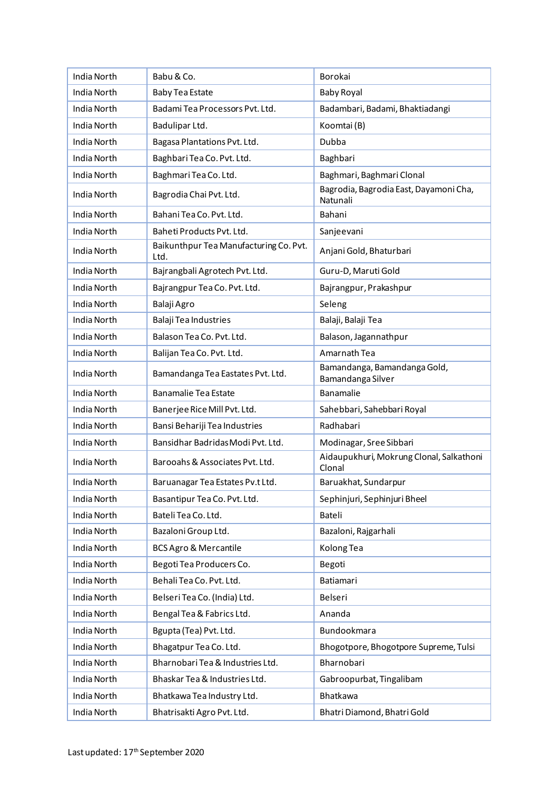| India North | Babu & Co.                                     | Borokai                                            |
|-------------|------------------------------------------------|----------------------------------------------------|
| India North | <b>Baby Tea Estate</b>                         | <b>Baby Royal</b>                                  |
| India North | Badami Tea Processors Pvt. Ltd.                | Badambari, Badami, Bhaktiadangi                    |
| India North | Badulipar Ltd.                                 | Koomtai (B)                                        |
| India North | Bagasa Plantations Pvt. Ltd.                   | Dubba                                              |
| India North | Baghbari Tea Co. Pvt. Ltd.                     | Baghbari                                           |
| India North | Baghmari Tea Co. Ltd.                          | Baghmari, Baghmari Clonal                          |
| India North | Bagrodia Chai Pvt. Ltd.                        | Bagrodia, Bagrodia East, Dayamoni Cha,<br>Natunali |
| India North | Bahani Tea Co. Pvt. Ltd.                       | Bahani                                             |
| India North | Baheti Products Pvt. Ltd.                      | Sanjeevani                                         |
| India North | Baikunthpur Tea Manufacturing Co. Pvt.<br>Ltd. | Anjani Gold, Bhaturbari                            |
| India North | Bajrangbali Agrotech Pvt. Ltd.                 | Guru-D, Maruti Gold                                |
| India North | Bajrangpur Tea Co. Pvt. Ltd.                   | Bajrangpur, Prakashpur                             |
| India North | Balaji Agro                                    | Seleng                                             |
| India North | Balaji Tea Industries                          | Balaji, Balaji Tea                                 |
| India North | Balason Tea Co. Pvt. Ltd.                      | Balason, Jagannathpur                              |
| India North | Balijan Tea Co. Pvt. Ltd.                      | Amarnath Tea                                       |
| India North | Bamandanga Tea Eastates Pvt. Ltd.              | Bamandanga, Bamandanga Gold,<br>Bamandanga Silver  |
| India North | <b>Banamalie Tea Estate</b>                    | Banamalie                                          |
| India North | Banerjee Rice Mill Pvt. Ltd.                   | Sahebbari, Sahebbari Royal                         |
| India North | Bansi Behariji Tea Industries                  | Radhabari                                          |
| India North | Bansidhar Badridas Modi Pvt. Ltd.              | Modinagar, Sree Sibbari                            |
| India North | Barooahs & Associates Pvt. Ltd.                | Aidaupukhuri, Mokrung Clonal, Salkathoni<br>Clonal |
| India North | Baruanagar Tea Estates Pv.t Ltd.               | Baruakhat, Sundarpur                               |
| India North | Basantipur Tea Co. Pvt. Ltd.                   | Sephinjuri, Sephinjuri Bheel                       |
| India North | Bateli Tea Co. Ltd.                            | Bateli                                             |
| India North | Bazaloni Group Ltd.                            | Bazaloni, Rajgarhali                               |
| India North | <b>BCS Agro &amp; Mercantile</b>               | Kolong Tea                                         |
| India North | Begoti Tea Producers Co.                       | Begoti                                             |
| India North | Behali Tea Co. Pvt. Ltd.                       | Batiamari                                          |
| India North | Belseri Tea Co. (India) Ltd.                   | Belseri                                            |
| India North | Bengal Tea & Fabrics Ltd.                      | Ananda                                             |
| India North | Bgupta (Tea) Pvt. Ltd.                         | Bundookmara                                        |
| India North | Bhagatpur Tea Co. Ltd.                         | Bhogotpore, Bhogotpore Supreme, Tulsi              |
| India North | Bharnobari Tea & Industries Ltd.               | Bharnobari                                         |
| India North | Bhaskar Tea & Industries Ltd.                  | Gabroopurbat, Tingalibam                           |
| India North | Bhatkawa Tea Industry Ltd.                     | Bhatkawa                                           |
| India North | Bhatrisakti Agro Pvt. Ltd.                     | Bhatri Diamond, Bhatri Gold                        |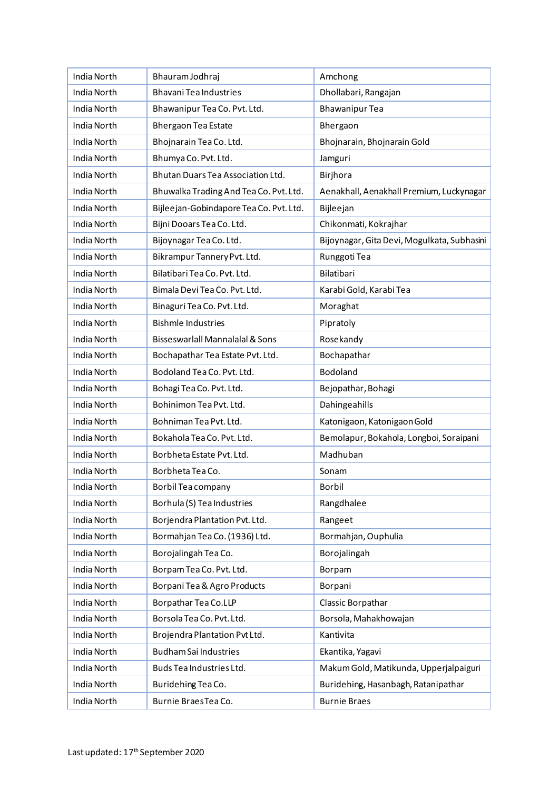| India North        | Bhauram Jodhraj                            | Amchong                                     |
|--------------------|--------------------------------------------|---------------------------------------------|
| India North        | <b>Bhavani Tea Industries</b>              | Dhollabari, Rangajan                        |
| India North        | Bhawanipur Tea Co. Pvt. Ltd.               | <b>Bhawanipur Tea</b>                       |
| India North        | Bhergaon Tea Estate                        | Bhergaon                                    |
| India North        | Bhojnarain Tea Co. Ltd.                    | Bhojnarain, Bhojnarain Gold                 |
| India North        | Bhumya Co. Pvt. Ltd.                       | Jamguri                                     |
| India North        | Bhutan Duars Tea Association Ltd.          | Birjhora                                    |
| India North        | Bhuwalka Trading And Tea Co. Pvt. Ltd.     | Aenakhall, Aenakhall Premium, Luckynagar    |
| India North        | Bijleejan-Gobindapore Tea Co. Pvt. Ltd.    | Bijleejan                                   |
| India North        | Bijni Dooars Tea Co. Ltd.                  | Chikonmati, Kokrajhar                       |
| India North        | Bijoynagar Tea Co. Ltd.                    | Bijoynagar, Gita Devi, Mogulkata, Subhasini |
| India North        | Bikrampur Tannery Pvt. Ltd.                | Runggoti Tea                                |
| India North        | Bilatibari Tea Co. Pvt. Ltd.               | Bilatibari                                  |
| India North        | Bimala Devi Tea Co. Pvt. Ltd.              | Karabi Gold, Karabi Tea                     |
| India North        | Binaguri Tea Co. Pvt. Ltd.                 | Moraghat                                    |
| <b>India North</b> | <b>Bishmle Industries</b>                  | Pipratoly                                   |
| <b>India North</b> | <b>Bisseswarlall Mannalalal &amp; Sons</b> | Rosekandy                                   |
| India North        | Bochapathar Tea Estate Pvt. Ltd.           | Bochapathar                                 |
| India North        | Bodoland Tea Co. Pvt. Ltd.                 | Bodoland                                    |
| India North        | Bohagi Tea Co. Pvt. Ltd.                   | Bejopathar, Bohagi                          |
| India North        | Bohinimon Tea Pvt. Ltd.                    | Dahingeahills                               |
| India North        | Bohniman Tea Pvt. Ltd.                     | Katonigaon, Katonigaon Gold                 |
| India North        | Bokahola Tea Co. Pvt. Ltd.                 | Bemolapur, Bokahola, Longboi, Soraipani     |
| India North        | Borbheta Estate Pvt. Ltd.                  | Madhuban                                    |
| India North        | Borbheta Tea Co.                           | Sonam                                       |
| India North        | Borbil Tea company                         | Borbil                                      |
| India North        | Borhula (S) Tea Industries                 | Rangdhalee                                  |
| India North        | Borjendra Plantation Pvt. Ltd.             | Rangeet                                     |
| India North        | Bormahjan Tea Co. (1936) Ltd.              | Bormahjan, Ouphulia                         |
| India North        | Borojalingah Tea Co.                       | Borojalingah                                |
| India North        | Borpam Tea Co. Pvt. Ltd.                   | Borpam                                      |
| India North        | Borpani Tea & Agro Products                | Borpani                                     |
| India North        | Borpathar Tea Co.LLP                       | Classic Borpathar                           |
| India North        | Borsola Tea Co. Pvt. Ltd.                  | Borsola, Mahakhowajan                       |
| India North        | Brojendra Plantation Pvt Ltd.              | Kantivita                                   |
| India North        | <b>Budham Sai Industries</b>               | Ekantika, Yagavi                            |
| India North        | Buds Tea Industries Ltd.                   | Makum Gold, Matikunda, Upperjalpaiguri      |
| India North        | Buridehing Tea Co.                         | Buridehing, Hasanbagh, Ratanipathar         |
| India North        | Burnie Braes Tea Co.                       | <b>Burnie Braes</b>                         |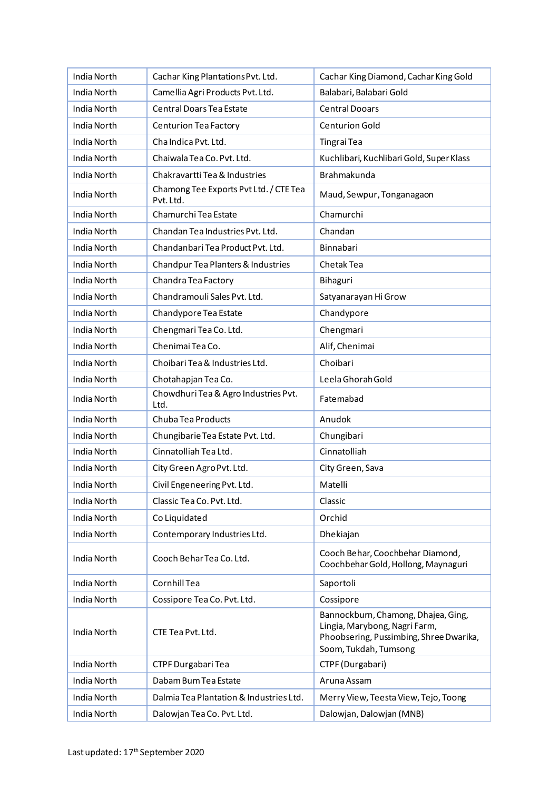| India North        | Cachar King Plantations Pvt. Ltd.                   | Cachar King Diamond, Cachar King Gold                                                                                                    |
|--------------------|-----------------------------------------------------|------------------------------------------------------------------------------------------------------------------------------------------|
| India North        | Camellia Agri Products Pvt. Ltd.                    | Balabari, Balabari Gold                                                                                                                  |
| India North        | Central Doars Tea Estate                            | <b>Central Dooars</b>                                                                                                                    |
| India North        | Centurion Tea Factory                               | <b>Centurion Gold</b>                                                                                                                    |
| India North        | Cha Indica Pvt. Ltd.                                | Tingrai Tea                                                                                                                              |
| India North        | Chaiwala Tea Co. Pvt. Ltd.                          | Kuchlibari, Kuchlibari Gold, Super Klass                                                                                                 |
| India North        | Chakravartti Tea & Industries                       | Brahmakunda                                                                                                                              |
| India North        | Chamong Tee Exports Pvt Ltd. / CTE Tea<br>Pvt. Ltd. | Maud, Sewpur, Tonganagaon                                                                                                                |
| India North        | Chamurchi Tea Estate                                | Chamurchi                                                                                                                                |
| India North        | Chandan Tea Industries Pvt. Ltd.                    | Chandan                                                                                                                                  |
| India North        | Chandanbari Tea Product Pvt. Ltd.                   | Binnabari                                                                                                                                |
| India North        | Chandpur Tea Planters & Industries                  | Chetak Tea                                                                                                                               |
| India North        | Chandra Tea Factory                                 | Bihaguri                                                                                                                                 |
| India North        | Chandramouli Sales Pvt. Ltd.                        | Satyanarayan Hi Grow                                                                                                                     |
| <b>India North</b> | Chandypore Tea Estate                               | Chandypore                                                                                                                               |
| India North        | Chengmari Tea Co. Ltd.                              | Chengmari                                                                                                                                |
| India North        | Chenimai Tea Co.                                    | Alif, Chenimai                                                                                                                           |
| India North        | Choibari Tea & Industries Ltd.                      | Choibari                                                                                                                                 |
| India North        | Chotahapjan Tea Co.                                 | Leela Ghorah Gold                                                                                                                        |
| India North        | Chowdhuri Tea & Agro Industries Pvt.<br>Ltd.        | Fatemabad                                                                                                                                |
| India North        | Chuba Tea Products                                  | Anudok                                                                                                                                   |
| India North        | Chungibarie Tea Estate Pvt. Ltd.                    | Chungibari                                                                                                                               |
| India North        | Cinnatolliah Tea Ltd.                               | Cinnatolliah                                                                                                                             |
| India North        | City Green Agro Pvt. Ltd.                           | City Green, Sava                                                                                                                         |
| India North        | Civil Engeneering Pvt. Ltd.                         | Matelli                                                                                                                                  |
| India North        | Classic Tea Co. Pvt. Ltd.                           | Classic                                                                                                                                  |
| India North        | Co Liquidated                                       | Orchid                                                                                                                                   |
| India North        | Contemporary Industries Ltd.                        | Dhekiajan                                                                                                                                |
| <b>India North</b> | Cooch Behar Tea Co. Ltd.                            | Cooch Behar, Coochbehar Diamond,<br>Coochbehar Gold, Hollong, Maynaguri                                                                  |
| India North        | Cornhill Tea                                        | Saportoli                                                                                                                                |
| India North        | Cossipore Tea Co. Pvt. Ltd.                         | Cossipore                                                                                                                                |
| India North        | CTE Tea Pvt. Ltd.                                   | Bannockburn, Chamong, Dhajea, Ging,<br>Lingia, Marybong, Nagri Farm,<br>Phoobsering, Pussimbing, Shree Dwarika,<br>Soom, Tukdah, Tumsong |
| India North        | CTPF Durgabari Tea                                  | CTPF (Durgabari)                                                                                                                         |
| India North        | Dabam Bum Tea Estate                                | Aruna Assam                                                                                                                              |
| India North        | Dalmia Tea Plantation & Industries Ltd.             | Merry View, Teesta View, Tejo, Toong                                                                                                     |
| India North        | Dalowjan Tea Co. Pvt. Ltd.                          | Dalowjan, Dalowjan (MNB)                                                                                                                 |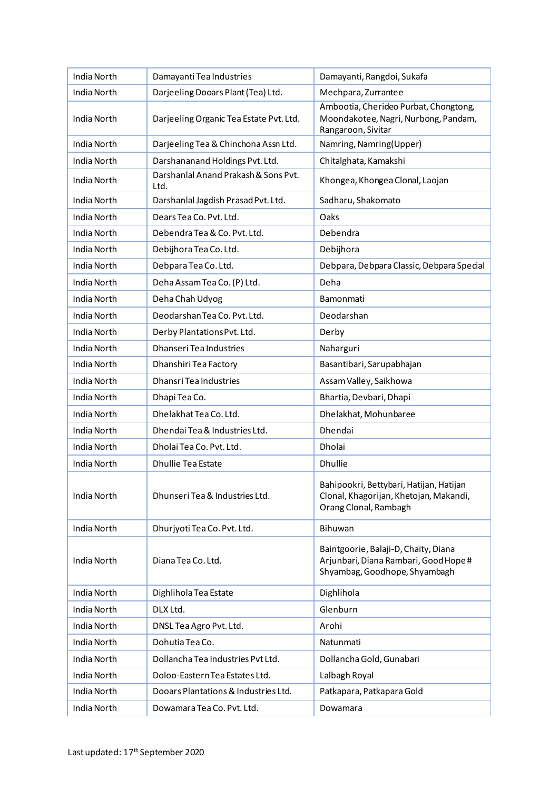| India North        | Damayanti Tea Industries                     | Damayanti, Rangdoi, Sukafa                                                                                     |
|--------------------|----------------------------------------------|----------------------------------------------------------------------------------------------------------------|
| India North        | Darjeeling Dooars Plant (Tea) Ltd.           | Mechpara, Zurrantee                                                                                            |
| India North        | Darjeeling Organic Tea Estate Pvt. Ltd.      | Ambootia, Cherideo Purbat, Chongtong,<br>Moondakotee, Nagri, Nurbong, Pandam,<br>Rangaroon, Sivitar            |
| India North        | Darjeeling Tea & Chinchona Assn Ltd.         | Namring, Namring(Upper)                                                                                        |
| India North        | Darshananand Holdings Pvt. Ltd.              | Chitalghata, Kamakshi                                                                                          |
| India North        | Darshanlal Anand Prakash & Sons Pvt.<br>Ltd. | Khongea, Khongea Clonal, Laojan                                                                                |
| India North        | Darshanlal Jagdish Prasad Pvt. Ltd.          | Sadharu, Shakomato                                                                                             |
| India North        | Dears Tea Co. Pvt. Ltd.                      | Oaks                                                                                                           |
| India North        | Debendra Tea & Co. Pvt. Ltd.                 | Debendra                                                                                                       |
| India North        | Debijhora Tea Co. Ltd.                       | Debijhora                                                                                                      |
| <b>India North</b> | Debpara Tea Co. Ltd.                         | Debpara, Debpara Classic, Debpara Special                                                                      |
| India North        | Deha Assam Tea Co. (P) Ltd.                  | Deha                                                                                                           |
| India North        | Deha Chah Udyog                              | Bamonmati                                                                                                      |
| <b>India North</b> | Deodarshan Tea Co. Pvt. Ltd.                 | Deodarshan                                                                                                     |
| India North        | Derby Plantations Pvt. Ltd.                  | Derby                                                                                                          |
| India North        | Dhanseri Tea Industries                      | Naharguri                                                                                                      |
| India North        | Dhanshiri Tea Factory                        | Basantibari, Sarupabhajan                                                                                      |
| India North        | <b>Dhansri Tea Industries</b>                | Assam Valley, Saikhowa                                                                                         |
| India North        | Dhapi Tea Co.                                | Bhartia, Devbari, Dhapi                                                                                        |
| India North        | Dhelakhat Tea Co. Ltd.                       | Dhelakhat, Mohunbaree                                                                                          |
| India North        | Dhendai Tea & Industries Ltd.                | Dhendai                                                                                                        |
| India North        | Dholai Tea Co. Pvt. Ltd.                     | Dholai                                                                                                         |
| India North        | <b>Dhullie Tea Estate</b>                    | <b>Dhullie</b>                                                                                                 |
| India North        | Dhunseri Tea & Industries Ltd.               | Bahipookri, Bettybari, Hatijan, Hatijan<br>Clonal, Khagorijan, Khetojan, Makandi,<br>Orang Clonal, Rambagh     |
| India North        | Dhurjyoti Tea Co. Pvt. Ltd.                  | Bihuwan                                                                                                        |
| India North        | Diana Tea Co. Ltd.                           | Baintgoorie, Balaji-D, Chaity, Diana<br>Arjunbari, Diana Rambari, Good Hope #<br>Shyambag, Goodhope, Shyambagh |
| India North        | Dighlihola Tea Estate                        | Dighlihola                                                                                                     |
| India North        | DLX Ltd.                                     | Glenburn                                                                                                       |
| India North        | DNSL Tea Agro Pvt. Ltd.                      | Arohi                                                                                                          |
| India North        | Dohutia Tea Co.                              | Natunmati                                                                                                      |
| India North        | Dollancha Tea Industries Pvt Ltd.            | Dollancha Gold, Gunabari                                                                                       |
| India North        | Doloo-Eastern Tea Estates Ltd.               | Lalbagh Royal                                                                                                  |
| India North        | Dooars Plantations & Industries Ltd.         | Patkapara, Patkapara Gold                                                                                      |
| India North        | Dowamara Tea Co. Pvt. Ltd.                   | Dowamara                                                                                                       |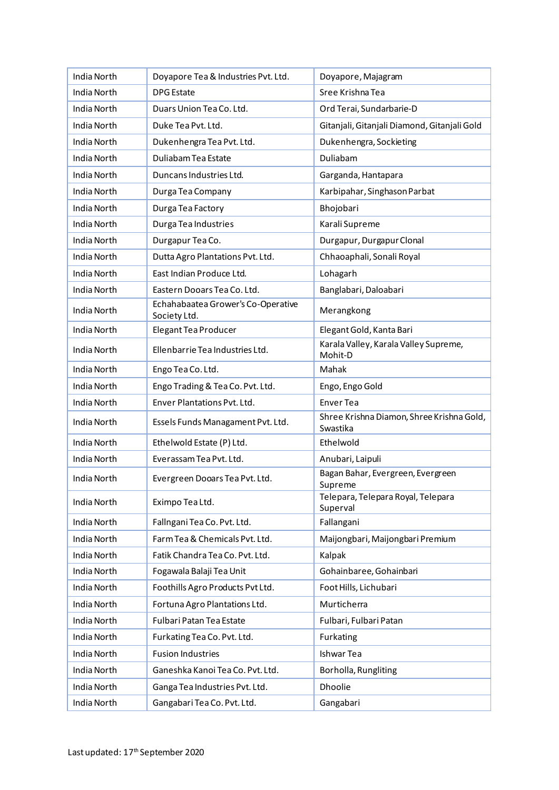| India North        | Doyapore Tea & Industries Pvt. Ltd.                | Doyapore, Majagram                                    |
|--------------------|----------------------------------------------------|-------------------------------------------------------|
| India North        | <b>DPG</b> Estate                                  | Sree Krishna Tea                                      |
| India North        | Duars Union Tea Co. Ltd.                           | Ord Terai, Sundarbarie-D                              |
| India North        | Duke Tea Pvt. Ltd.                                 | Gitanjali, Gitanjali Diamond, Gitanjali Gold          |
| India North        | Dukenhengra Tea Pvt. Ltd.                          | Dukenhengra, Sockieting                               |
| India North        | Duliabam Tea Estate                                | Duliabam                                              |
| <b>India North</b> | Duncans Industries Ltd.                            | Garganda, Hantapara                                   |
| <b>India North</b> | Durga Tea Company                                  | Karbipahar, Singhason Parbat                          |
| India North        | Durga Tea Factory                                  | Bhojobari                                             |
| India North        | Durga Tea Industries                               | Karali Supreme                                        |
| India North        | Durgapur Tea Co.                                   | Durgapur, Durgapur Clonal                             |
| India North        | Dutta Agro Plantations Pvt. Ltd.                   | Chhaoaphali, Sonali Royal                             |
| India North        | East Indian Produce Ltd.                           | Lohagarh                                              |
| India North        | Eastern Dooars Tea Co. Ltd.                        | Banglabari, Daloabari                                 |
| India North        | Echahabaatea Grower's Co-Operative<br>Society Ltd. | Merangkong                                            |
| India North        | Elegant Tea Producer                               | Elegant Gold, Kanta Bari                              |
| India North        | Ellenbarrie Tea Industries Ltd.                    | Karala Valley, Karala Valley Supreme,<br>Mohit-D      |
| India North        | Engo Tea Co. Ltd.                                  | Mahak                                                 |
| India North        | Engo Trading & Tea Co. Pvt. Ltd.                   | Engo, Engo Gold                                       |
| India North        | Enver Plantations Pvt. Ltd.                        | <b>Enver Tea</b>                                      |
| India North        | Essels Funds Managament Pvt. Ltd.                  | Shree Krishna Diamon, Shree Krishna Gold,<br>Swastika |
| India North        | Ethelwold Estate (P) Ltd.                          | Ethelwold                                             |
| India North        | Everassam Tea Pvt. Ltd.                            | Anubari, Laipuli                                      |
| India North        | Evergreen Dooars Tea Pvt. Ltd.                     | Bagan Bahar, Evergreen, Evergreen<br>Supreme          |
| India North        | Eximpo Tea Ltd.                                    | Telepara, Telepara Royal, Telepara<br>Superval        |
| <b>India North</b> | Fallngani Tea Co. Pvt. Ltd.                        | Fallangani                                            |
| India North        | Farm Tea & Chemicals Pvt. Ltd.                     | Maijongbari, Maijongbari Premium                      |
| India North        | Fatik Chandra Tea Co. Pvt. Ltd.                    | Kalpak                                                |
| India North        | Fogawala Balaji Tea Unit                           | Gohainbaree, Gohainbari                               |
| India North        | Foothills Agro Products Pvt Ltd.                   | Foot Hills, Lichubari                                 |
| India North        | Fortuna Agro Plantations Ltd.                      | Murticherra                                           |
| India North        | Fulbari Patan Tea Estate                           | Fulbari, Fulbari Patan                                |
| India North        | Furkating Tea Co. Pvt. Ltd.                        | Furkating                                             |
| India North        | <b>Fusion Industries</b>                           | <b>Ishwar Tea</b>                                     |
| India North        | Ganeshka Kanoi Tea Co. Pvt. Ltd.                   | Borholla, Rungliting                                  |
| India North        | Ganga Tea Industries Pvt. Ltd.                     | Dhoolie                                               |
| India North        | Gangabari Tea Co. Pvt. Ltd.                        | Gangabari                                             |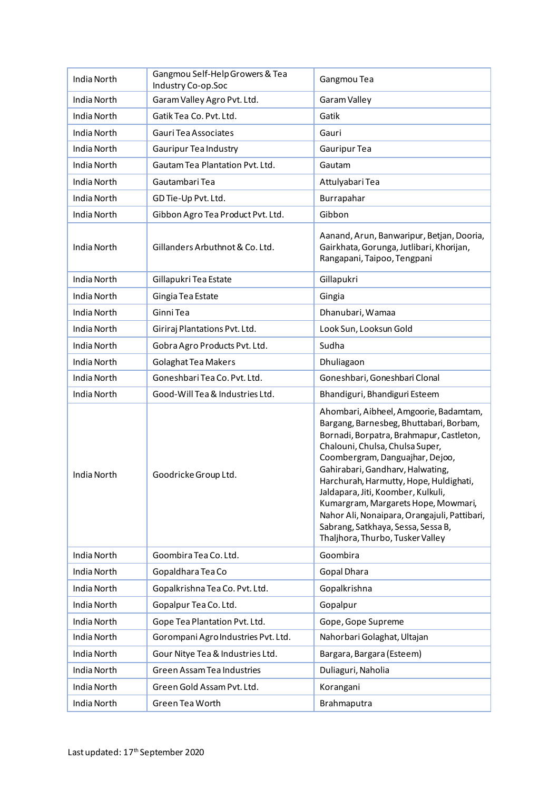| India North | Gangmou Self-Help Growers & Tea<br>Industry Co-op.Soc | Gangmou Tea                                                                                                                                                                                                                                                                                                                                                                                                                                                                              |
|-------------|-------------------------------------------------------|------------------------------------------------------------------------------------------------------------------------------------------------------------------------------------------------------------------------------------------------------------------------------------------------------------------------------------------------------------------------------------------------------------------------------------------------------------------------------------------|
| India North | Garam Valley Agro Pvt. Ltd.                           | Garam Valley                                                                                                                                                                                                                                                                                                                                                                                                                                                                             |
| India North | Gatik Tea Co. Pvt. Ltd.                               | Gatik                                                                                                                                                                                                                                                                                                                                                                                                                                                                                    |
| India North | Gauri Tea Associates                                  | Gauri                                                                                                                                                                                                                                                                                                                                                                                                                                                                                    |
| India North | <b>Gauripur Tea Industry</b>                          | Gauripur Tea                                                                                                                                                                                                                                                                                                                                                                                                                                                                             |
| India North | Gautam Tea Plantation Pvt. Ltd.                       | Gautam                                                                                                                                                                                                                                                                                                                                                                                                                                                                                   |
| India North | Gautambari Tea                                        | Attulyabari Tea                                                                                                                                                                                                                                                                                                                                                                                                                                                                          |
| India North | GD Tie-Up Pvt. Ltd.                                   | Burrapahar                                                                                                                                                                                                                                                                                                                                                                                                                                                                               |
| India North | Gibbon Agro Tea Product Pvt. Ltd.                     | Gibbon                                                                                                                                                                                                                                                                                                                                                                                                                                                                                   |
| India North | Gillanders Arbuthnot & Co. Ltd.                       | Aanand, Arun, Banwaripur, Betjan, Dooria,<br>Gairkhata, Gorunga, Jutlibari, Khorijan,<br>Rangapani, Taipoo, Tengpani                                                                                                                                                                                                                                                                                                                                                                     |
| India North | Gillapukri Tea Estate                                 | Gillapukri                                                                                                                                                                                                                                                                                                                                                                                                                                                                               |
| India North | Gingia Tea Estate                                     | Gingia                                                                                                                                                                                                                                                                                                                                                                                                                                                                                   |
| India North | Ginni Tea                                             | Dhanubari, Wamaa                                                                                                                                                                                                                                                                                                                                                                                                                                                                         |
| India North | Giriraj Plantations Pvt. Ltd.                         | Look Sun, Looksun Gold                                                                                                                                                                                                                                                                                                                                                                                                                                                                   |
| India North | Gobra Agro Products Pvt. Ltd.                         | Sudha                                                                                                                                                                                                                                                                                                                                                                                                                                                                                    |
| India North | Golaghat Tea Makers                                   | Dhuliagaon                                                                                                                                                                                                                                                                                                                                                                                                                                                                               |
| India North | Goneshbari Tea Co. Pvt. Ltd.                          | Goneshbari, Goneshbari Clonal                                                                                                                                                                                                                                                                                                                                                                                                                                                            |
| India North | Good-Will Tea & Industries Ltd.                       | Bhandiguri, Bhandiguri Esteem                                                                                                                                                                                                                                                                                                                                                                                                                                                            |
| India North | Goodricke Group Ltd.                                  | Ahombari, Aibheel, Amgoorie, Badamtam,<br>Bargang, Barnesbeg, Bhuttabari, Borbam,<br>Bornadi, Borpatra, Brahmapur, Castleton,<br>Chalouni, Chulsa, Chulsa Super,<br>Coombergram, Danguajhar, Dejoo,<br>Gahirabari, Gandharv, Halwating,<br>Harchurah, Harmutty, Hope, Huldighati,<br>Jaldapara, Jiti, Koomber, Kulkuli,<br>Kumargram, Margarets Hope, Mowmari,<br>Nahor Ali, Nonaipara, Orangajuli, Pattibari,<br>Sabrang, Satkhaya, Sessa, Sessa B,<br>Thaljhora, Thurbo, Tusker Valley |
| India North | Goombira Tea Co. Ltd.                                 | Goombira                                                                                                                                                                                                                                                                                                                                                                                                                                                                                 |
| India North | Gopaldhara Tea Co                                     | Gopal Dhara                                                                                                                                                                                                                                                                                                                                                                                                                                                                              |
| India North | Gopalkrishna Tea Co. Pvt. Ltd.                        | Gopalkrishna                                                                                                                                                                                                                                                                                                                                                                                                                                                                             |
| India North | Gopalpur Tea Co. Ltd.                                 | Gopalpur                                                                                                                                                                                                                                                                                                                                                                                                                                                                                 |
| India North | Gope Tea Plantation Pvt. Ltd.                         | Gope, Gope Supreme                                                                                                                                                                                                                                                                                                                                                                                                                                                                       |
| India North | Gorompani Agro Industries Pvt. Ltd.                   | Nahorbari Golaghat, Ultajan                                                                                                                                                                                                                                                                                                                                                                                                                                                              |
| India North | Gour Nitye Tea & Industries Ltd.                      | Bargara, Bargara (Esteem)                                                                                                                                                                                                                                                                                                                                                                                                                                                                |
| India North | Green Assam Tea Industries                            | Duliaguri, Naholia                                                                                                                                                                                                                                                                                                                                                                                                                                                                       |
| India North | Green Gold Assam Pvt. Ltd.                            | Korangani                                                                                                                                                                                                                                                                                                                                                                                                                                                                                |
| India North | Green Tea Worth                                       | Brahmaputra                                                                                                                                                                                                                                                                                                                                                                                                                                                                              |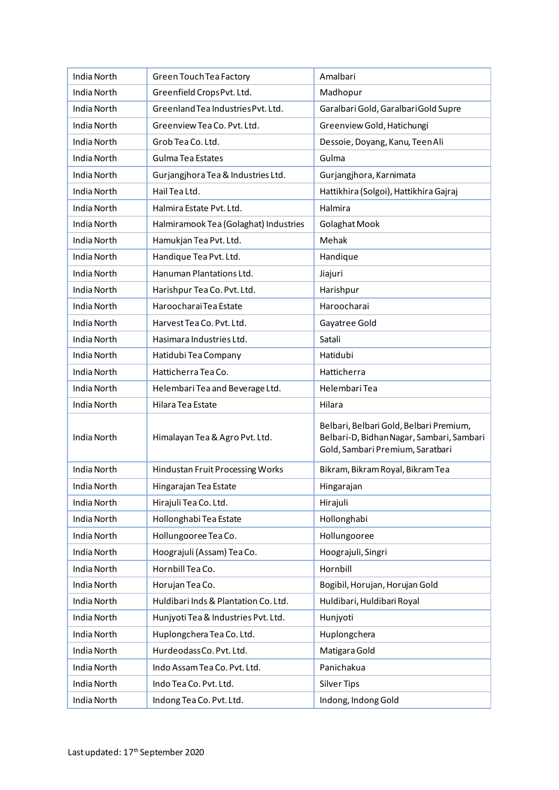| India North        | Green Touch Tea Factory               | Amalbari                                                                                                                 |
|--------------------|---------------------------------------|--------------------------------------------------------------------------------------------------------------------------|
| India North        | Greenfield Crops Pvt. Ltd.            | Madhopur                                                                                                                 |
| India North        | Greenland Tea Industries Pvt. Ltd.    | Garalbari Gold, Garalbari Gold Supre                                                                                     |
| <b>India North</b> | Greenview Tea Co. Pvt. Ltd.           | Greenview Gold, Hatichungi                                                                                               |
| India North        | Grob Tea Co. Ltd.                     | Dessoie, Doyang, Kanu, Teen Ali                                                                                          |
| India North        | Gulma Tea Estates                     | Gulma                                                                                                                    |
| India North        | Gurjangjhora Tea & Industries Ltd.    | Gurjangjhora, Karnimata                                                                                                  |
| <b>India North</b> | Hail Tea Ltd.                         | Hattikhira (Solgoi), Hattikhira Gajraj                                                                                   |
| India North        | Halmira Estate Pvt. Ltd.              | Halmira                                                                                                                  |
| India North        | Halmiramook Tea (Golaghat) Industries | Golaghat Mook                                                                                                            |
| India North        | Hamukjan Tea Pvt. Ltd.                | Mehak                                                                                                                    |
| India North        | Handique Tea Pvt. Ltd.                | Handique                                                                                                                 |
| India North        | Hanuman Plantations Ltd.              | Jiajuri                                                                                                                  |
| India North        | Harishpur Tea Co. Pvt. Ltd.           | Harishpur                                                                                                                |
| India North        | Haroocharai Tea Estate                | Haroocharai                                                                                                              |
| India North        | Harvest Tea Co. Pvt. Ltd.             | Gayatree Gold                                                                                                            |
| India North        | Hasimara Industries Ltd.              | Satali                                                                                                                   |
| India North        | Hatidubi Tea Company                  | Hatidubi                                                                                                                 |
| India North        | Hatticherra Tea Co.                   | Hatticherra                                                                                                              |
| India North        | Helembari Tea and Beverage Ltd.       | Helembari Tea                                                                                                            |
| India North        | Hilara Tea Estate                     | Hilara                                                                                                                   |
| India North        | Himalayan Tea & Agro Pvt. Ltd.        | Belbari, Belbari Gold, Belbari Premium,<br>Belbari-D, Bidhan Nagar, Sambari, Sambari<br>Gold, Sambari Premium, Saratbari |
| India North        | Hindustan Fruit Processing Works      | Bikram, Bikram Royal, Bikram Tea                                                                                         |
| India North        | Hingarajan Tea Estate                 | Hingarajan                                                                                                               |
| India North        | Hirajuli Tea Co. Ltd.                 | Hirajuli                                                                                                                 |
| India North        | Hollonghabi Tea Estate                | Hollonghabi                                                                                                              |
| India North        | Hollungooree Tea Co.                  | Hollungooree                                                                                                             |
| India North        | Hoograjuli (Assam) Tea Co.            | Hoograjuli, Singri                                                                                                       |
| India North        | Hornbill Tea Co.                      | Hornbill                                                                                                                 |
| India North        | Horujan Tea Co.                       | Bogibil, Horujan, Horujan Gold                                                                                           |
| India North        | Huldibari Inds & Plantation Co. Ltd.  | Huldibari, Huldibari Royal                                                                                               |
| India North        | Hunjyoti Tea & Industries Pvt. Ltd.   | Hunjyoti                                                                                                                 |
| India North        | Huplongchera Tea Co. Ltd.             | Huplongchera                                                                                                             |
| India North        | HurdeodassCo. Pvt. Ltd.               | Matigara Gold                                                                                                            |
| India North        | Indo Assam Tea Co. Pvt. Ltd.          | Panichakua                                                                                                               |
| India North        | Indo Tea Co. Pvt. Ltd.                | <b>Silver Tips</b>                                                                                                       |
| India North        | Indong Tea Co. Pvt. Ltd.              | Indong, Indong Gold                                                                                                      |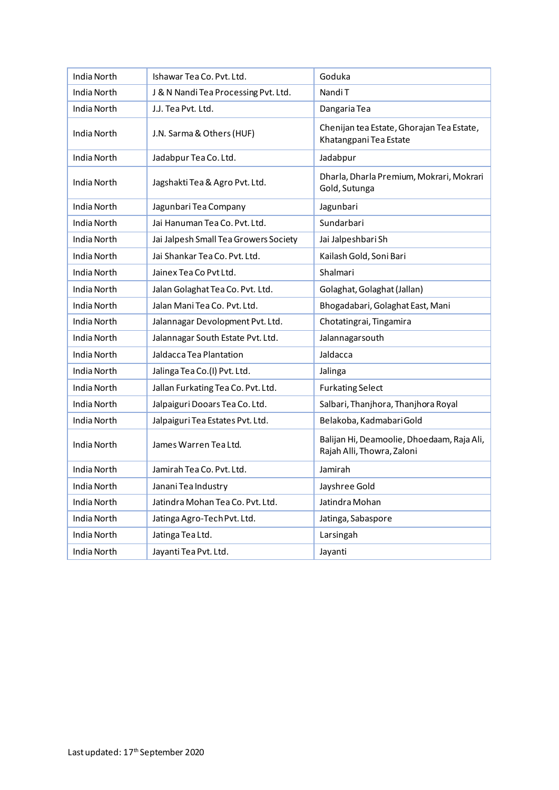| India North        | Ishawar Tea Co. Pvt. Ltd.             | Goduka                                                                   |
|--------------------|---------------------------------------|--------------------------------------------------------------------------|
| India North        | J & N Nandi Tea Processing Pvt. Ltd.  | Nandi T                                                                  |
| India North        | J.J. Tea Pvt. Ltd.                    | Dangaria Tea                                                             |
| India North        | J.N. Sarma & Others (HUF)             | Chenijan tea Estate, Ghorajan Tea Estate,<br>Khatangpani Tea Estate      |
| India North        | Jadabpur Tea Co. Ltd.                 | Jadabpur                                                                 |
| India North        | Jagshakti Tea & Agro Pvt. Ltd.        | Dharla, Dharla Premium, Mokrari, Mokrari<br>Gold, Sutunga                |
| India North        | Jagunbari Tea Company                 | Jagunbari                                                                |
| India North        | Jai Hanuman Tea Co. Pvt. Ltd.         | Sundarbari                                                               |
| India North        | Jai Jalpesh Small Tea Growers Society | Jai Jalpeshbari Sh                                                       |
| India North        | Jai Shankar Tea Co. Pvt. Ltd.         | Kailash Gold, Soni Bari                                                  |
| <b>India North</b> | Jainex Tea Co Pvt Ltd.                | Shalmari                                                                 |
| India North        | Jalan Golaghat Tea Co. Pvt. Ltd.      | Golaghat, Golaghat (Jallan)                                              |
| India North        | Jalan Mani Tea Co. Pvt. Ltd.          | Bhogadabari, Golaghat East, Mani                                         |
| India North        | Jalannagar Devolopment Pvt. Ltd.      | Chotatingrai, Tingamira                                                  |
| India North        | Jalannagar South Estate Pvt. Ltd.     | Jalannagarsouth                                                          |
| India North        | Jaldacca Tea Plantation               | Jaldacca                                                                 |
| India North        | Jalinga Tea Co.(I) Pvt. Ltd.          | Jalinga                                                                  |
| India North        | Jallan Furkating Tea Co. Pvt. Ltd.    | <b>Furkating Select</b>                                                  |
| India North        | Jalpaiguri Dooars Tea Co. Ltd.        | Salbari, Thanjhora, Thanjhora Royal                                      |
| India North        | Jalpaiguri Tea Estates Pvt. Ltd.      | Belakoba, Kadmabari Gold                                                 |
| India North        | James Warren Tea Ltd.                 | Balijan Hi, Deamoolie, Dhoedaam, Raja Ali,<br>Rajah Alli, Thowra, Zaloni |
| India North        | Jamirah Tea Co. Pvt. Ltd.             | Jamirah                                                                  |
| India North        | Janani Tea Industry                   | Jayshree Gold                                                            |
| India North        | Jatindra Mohan Tea Co. Pvt. Ltd.      | Jatindra Mohan                                                           |
| India North        | Jatinga Agro-Tech Pvt. Ltd.           | Jatinga, Sabaspore                                                       |
| India North        | Jatinga Tea Ltd.                      | Larsingah                                                                |
| India North        | Jayanti Tea Pvt. Ltd.                 | Jayanti                                                                  |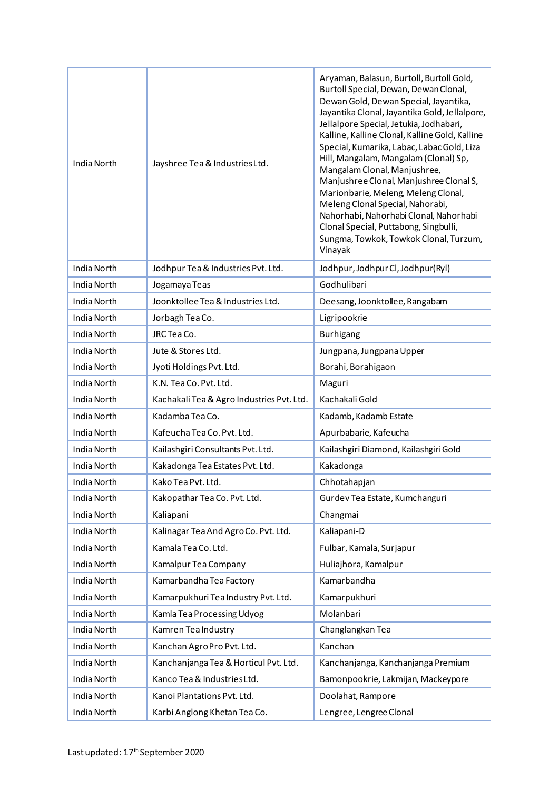| India North | Jayshree Tea & Industries Ltd.            | Aryaman, Balasun, Burtoll, Burtoll Gold,<br>Burtoll Special, Dewan, Dewan Clonal,<br>Dewan Gold, Dewan Special, Jayantika,<br>Jayantika Clonal, Jayantika Gold, Jellalpore,<br>Jellalpore Special, Jetukia, Jodhabari,<br>Kalline, Kalline Clonal, Kalline Gold, Kalline<br>Special, Kumarika, Labac, Labac Gold, Liza<br>Hill, Mangalam, Mangalam (Clonal) Sp,<br>Mangalam Clonal, Manjushree,<br>Manjushree Clonal, Manjushree Clonal S,<br>Marionbarie, Meleng, Meleng Clonal,<br>Meleng Clonal Special, Nahorabi,<br>Nahorhabi, Nahorhabi Clonal, Nahorhabi<br>Clonal Special, Puttabong, Singbulli,<br>Sungma, Towkok, Towkok Clonal, Turzum,<br>Vinayak |
|-------------|-------------------------------------------|---------------------------------------------------------------------------------------------------------------------------------------------------------------------------------------------------------------------------------------------------------------------------------------------------------------------------------------------------------------------------------------------------------------------------------------------------------------------------------------------------------------------------------------------------------------------------------------------------------------------------------------------------------------|
| India North | Jodhpur Tea & Industries Pvt. Ltd.        | Jodhpur, Jodhpur Cl, Jodhpur(Ryl)                                                                                                                                                                                                                                                                                                                                                                                                                                                                                                                                                                                                                             |
| India North | Jogamaya Teas                             | Godhulibari                                                                                                                                                                                                                                                                                                                                                                                                                                                                                                                                                                                                                                                   |
| India North | Joonktollee Tea & Industries Ltd.         | Deesang, Joonktollee, Rangabam                                                                                                                                                                                                                                                                                                                                                                                                                                                                                                                                                                                                                                |
| India North | Jorbagh Tea Co.                           | Ligripookrie                                                                                                                                                                                                                                                                                                                                                                                                                                                                                                                                                                                                                                                  |
| India North | JRC Tea Co.                               | <b>Burhigang</b>                                                                                                                                                                                                                                                                                                                                                                                                                                                                                                                                                                                                                                              |
| India North | Jute & Stores Ltd.                        | Jungpana, Jungpana Upper                                                                                                                                                                                                                                                                                                                                                                                                                                                                                                                                                                                                                                      |
| India North | Jyoti Holdings Pvt. Ltd.                  | Borahi, Borahigaon                                                                                                                                                                                                                                                                                                                                                                                                                                                                                                                                                                                                                                            |
| India North | K.N. Tea Co. Pvt. Ltd.                    | Maguri                                                                                                                                                                                                                                                                                                                                                                                                                                                                                                                                                                                                                                                        |
| India North | Kachakali Tea & Agro Industries Pvt. Ltd. | Kachakali Gold                                                                                                                                                                                                                                                                                                                                                                                                                                                                                                                                                                                                                                                |
| India North | Kadamba Tea Co.                           | Kadamb, Kadamb Estate                                                                                                                                                                                                                                                                                                                                                                                                                                                                                                                                                                                                                                         |
| India North | Kafeucha Tea Co. Pvt. Ltd.                | Apurbabarie, Kafeucha                                                                                                                                                                                                                                                                                                                                                                                                                                                                                                                                                                                                                                         |
| India North | Kailashgiri Consultants Pvt. Ltd.         | Kailashgiri Diamond, Kailashgiri Gold                                                                                                                                                                                                                                                                                                                                                                                                                                                                                                                                                                                                                         |
| India North | Kakadonga Tea Estates Pvt. Ltd.           | Kakadonga                                                                                                                                                                                                                                                                                                                                                                                                                                                                                                                                                                                                                                                     |
| India North | Kako Tea Pyt. Ltd.                        | Chhotahapjan                                                                                                                                                                                                                                                                                                                                                                                                                                                                                                                                                                                                                                                  |
| India North | Kakopathar Tea Co. Pvt. Ltd.              | Gurdev Tea Estate, Kumchanguri                                                                                                                                                                                                                                                                                                                                                                                                                                                                                                                                                                                                                                |
| India North | Kaliapani                                 | Changmai                                                                                                                                                                                                                                                                                                                                                                                                                                                                                                                                                                                                                                                      |
| India North | Kalinagar Tea And AgroCo. Pvt. Ltd.       | Kaliapani-D                                                                                                                                                                                                                                                                                                                                                                                                                                                                                                                                                                                                                                                   |
| India North | Kamala Tea Co. Ltd.                       | Fulbar, Kamala, Surjapur                                                                                                                                                                                                                                                                                                                                                                                                                                                                                                                                                                                                                                      |
| India North | Kamalpur Tea Company                      | Huliajhora, Kamalpur                                                                                                                                                                                                                                                                                                                                                                                                                                                                                                                                                                                                                                          |
| India North | Kamarbandha Tea Factory                   | Kamarbandha                                                                                                                                                                                                                                                                                                                                                                                                                                                                                                                                                                                                                                                   |
| India North | Kamarpukhuri Tea Industry Pvt. Ltd.       | Kamarpukhuri                                                                                                                                                                                                                                                                                                                                                                                                                                                                                                                                                                                                                                                  |
| India North | Kamla Tea Processing Udyog                | Molanbari                                                                                                                                                                                                                                                                                                                                                                                                                                                                                                                                                                                                                                                     |
| India North | Kamren Tea Industry                       | Changlangkan Tea                                                                                                                                                                                                                                                                                                                                                                                                                                                                                                                                                                                                                                              |
| India North | Kanchan Agro Pro Pvt. Ltd.                | Kanchan                                                                                                                                                                                                                                                                                                                                                                                                                                                                                                                                                                                                                                                       |
| India North | Kanchanjanga Tea & Horticul Pvt. Ltd.     | Kanchanjanga, Kanchanjanga Premium                                                                                                                                                                                                                                                                                                                                                                                                                                                                                                                                                                                                                            |
| India North | Kanco Tea & Industries Ltd.               | Bamonpookrie, Lakmijan, Mackeypore                                                                                                                                                                                                                                                                                                                                                                                                                                                                                                                                                                                                                            |
| India North | Kanoi Plantations Pvt. Ltd.               | Doolahat, Rampore                                                                                                                                                                                                                                                                                                                                                                                                                                                                                                                                                                                                                                             |
| India North | Karbi Anglong Khetan Tea Co.              | Lengree, Lengree Clonal                                                                                                                                                                                                                                                                                                                                                                                                                                                                                                                                                                                                                                       |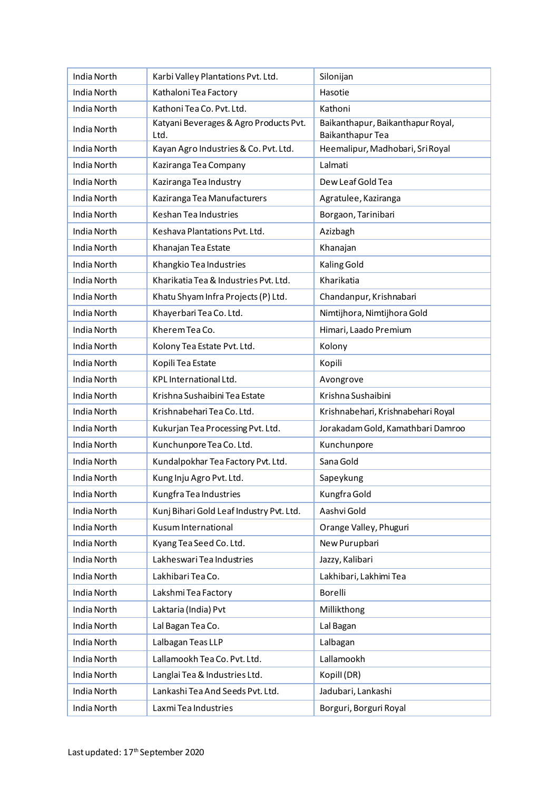| India North        | Karbi Valley Plantations Pvt. Ltd.             | Silonijan                                             |
|--------------------|------------------------------------------------|-------------------------------------------------------|
| India North        | Kathaloni Tea Factory                          | Hasotie                                               |
| India North        | Kathoni Tea Co. Pvt. Ltd.                      | Kathoni                                               |
| India North        | Katyani Beverages & Agro Products Pvt.<br>Ltd. | Baikanthapur, Baikanthapur Royal,<br>Baikanthapur Tea |
| India North        | Kayan Agro Industries & Co. Pvt. Ltd.          | Heemalipur, Madhobari, SriRoyal                       |
| India North        | Kaziranga Tea Company                          | Lalmati                                               |
| India North        | Kaziranga Tea Industry                         | Dew Leaf Gold Tea                                     |
| India North        | Kaziranga Tea Manufacturers                    | Agratulee, Kaziranga                                  |
| India North        | Keshan Tea Industries                          | Borgaon, Tarinibari                                   |
| India North        | Keshava Plantations Pvt. Ltd.                  | Azizbagh                                              |
| India North        | Khanajan Tea Estate                            | Khanajan                                              |
| <b>India North</b> | Khangkio Tea Industries                        | Kaling Gold                                           |
| India North        | Kharikatia Tea & Industries Pvt. Ltd.          | Kharikatia                                            |
| India North        | Khatu Shyam Infra Projects (P) Ltd.            | Chandanpur, Krishnabari                               |
| <b>India North</b> | Khayerbari Tea Co. Ltd.                        | Nimtijhora, Nimtijhora Gold                           |
| India North        | Kherem Tea Co.                                 | Himari, Laado Premium                                 |
| India North        | Kolony Tea Estate Pvt. Ltd.                    | Kolony                                                |
| India North        | Kopili Tea Estate                              | Kopili                                                |
| India North        | KPL International Ltd.                         | Avongrove                                             |
| India North        | Krishna Sushaibini Tea Estate                  | Krishna Sushaibini                                    |
| India North        | Krishnabehari Tea Co. Ltd.                     | Krishnabehari, Krishnabehari Royal                    |
| India North        | Kukurjan Tea Processing Pvt. Ltd.              | Jorakadam Gold, Kamathbari Damroo                     |
| <b>India North</b> | Kunchunpore Tea Co. Ltd.                       | Kunchunpore                                           |
| India North        | Kundalpokhar Tea Factory Pvt. Ltd.             | Sana Gold                                             |
| India North        | Kung Inju Agro Pvt. Ltd.                       | Sapeykung                                             |
| India North        | Kungfra Tea Industries                         | Kungfra Gold                                          |
| India North        | Kunj Bihari Gold Leaf Industry Pvt. Ltd.       | Aashvi Gold                                           |
| India North        | Kusum International                            | Orange Valley, Phuguri                                |
| India North        | Kyang Tea Seed Co. Ltd.                        | New Purupbari                                         |
| India North        | Lakheswari Tea Industries                      | Jazzy, Kalibari                                       |
| India North        | Lakhibari Tea Co.                              | Lakhibari, Lakhimi Tea                                |
| India North        | Lakshmi Tea Factory                            | Borelli                                               |
| India North        | Laktaria (India) Pvt                           | Millikthong                                           |
| India North        | Lal Bagan Tea Co.                              | Lal Bagan                                             |
| India North        | Lalbagan Teas LLP                              | Lalbagan                                              |
| India North        | Lallamookh Tea Co. Pvt. Ltd.                   | Lallamookh                                            |
| India North        | Langlai Tea & Industries Ltd.                  | Kopill (DR)                                           |
| India North        | Lankashi Tea And Seeds Pvt. Ltd.               | Jadubari, Lankashi                                    |
| India North        | Laxmi Tea Industries                           | Borguri, Borguri Royal                                |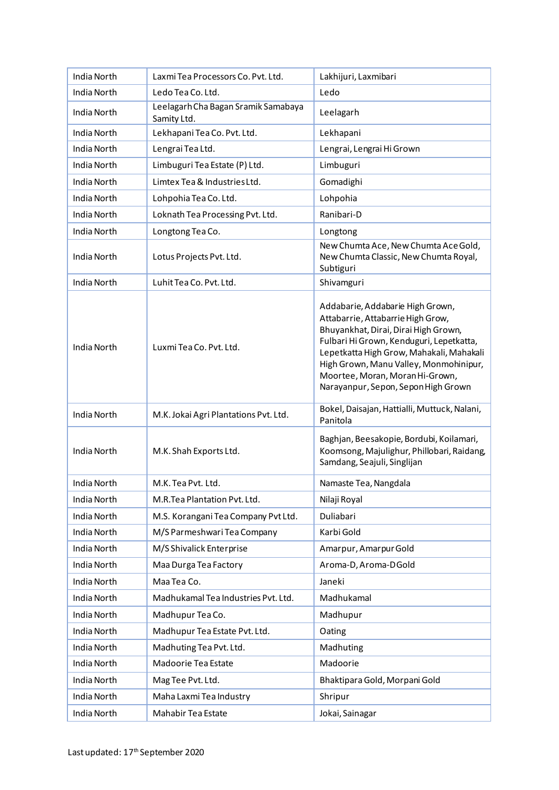| India North        | Laxmi Tea Processors Co. Pvt. Ltd.                 | Lakhijuri, Laxmibari                                                                                                                                                                                                                                                                                                      |
|--------------------|----------------------------------------------------|---------------------------------------------------------------------------------------------------------------------------------------------------------------------------------------------------------------------------------------------------------------------------------------------------------------------------|
| India North        | Ledo Tea Co. Ltd.                                  | Ledo                                                                                                                                                                                                                                                                                                                      |
| India North        | Leelagarh Cha Bagan Sramik Samabaya<br>Samity Ltd. | Leelagarh                                                                                                                                                                                                                                                                                                                 |
| India North        | Lekhapani Tea Co. Pvt. Ltd.                        | Lekhapani                                                                                                                                                                                                                                                                                                                 |
| India North        | Lengrai Tea Ltd.                                   | Lengrai, Lengrai Hi Grown                                                                                                                                                                                                                                                                                                 |
| India North        | Limbuguri Tea Estate (P) Ltd.                      | Limbuguri                                                                                                                                                                                                                                                                                                                 |
| India North        | Limtex Tea & Industries Ltd.                       | Gomadighi                                                                                                                                                                                                                                                                                                                 |
| India North        | Lohpohia Tea Co. Ltd.                              | Lohpohia                                                                                                                                                                                                                                                                                                                  |
| India North        | Loknath Tea Processing Pvt. Ltd.                   | Ranibari-D                                                                                                                                                                                                                                                                                                                |
| India North        | Longtong Tea Co.                                   | Longtong                                                                                                                                                                                                                                                                                                                  |
| India North        | Lotus Projects Pvt. Ltd.                           | New Chumta Ace, New Chumta Ace Gold,<br>New Chumta Classic, New Chumta Royal,<br>Subtiguri                                                                                                                                                                                                                                |
| India North        | Luhit Tea Co. Pvt. Ltd.                            | Shivamguri                                                                                                                                                                                                                                                                                                                |
| India North        | Luxmi Tea Co. Pvt. Ltd.                            | Addabarie, Addabarie High Grown,<br>Attabarrie, Attabarrie High Grow,<br>Bhuyankhat, Dirai, Dirai High Grown,<br>Fulbari Hi Grown, Kenduguri, Lepetkatta,<br>Lepetkatta High Grow, Mahakali, Mahakali<br>High Grown, Manu Valley, Monmohinipur,<br>Moortee, Moran, Moran Hi-Grown,<br>Narayanpur, Sepon, Sepon High Grown |
| India North        | M.K. Jokai Agri Plantations Pvt. Ltd.              | Bokel, Daisajan, Hattialli, Muttuck, Nalani,<br>Panitola                                                                                                                                                                                                                                                                  |
| India North        | M.K. Shah Exports Ltd.                             | Baghjan, Beesakopie, Bordubi, Koilamari,<br>Koomsong, Majulighur, Phillobari, Raidang,<br>Samdang, Seajuli, Singlijan                                                                                                                                                                                                     |
| India North        | M.K. Tea Pvt. Ltd.                                 | Namaste Tea, Nangdala                                                                                                                                                                                                                                                                                                     |
| India North        | M.R.Tea Plantation Pvt. Ltd.                       | Nilaji Royal                                                                                                                                                                                                                                                                                                              |
| <b>India North</b> | M.S. Korangani Tea Company Pvt Ltd.                | Duliabari                                                                                                                                                                                                                                                                                                                 |
| India North        | M/S Parmeshwari Tea Company                        | Karbi Gold                                                                                                                                                                                                                                                                                                                |
| India North        | M/S Shivalick Enterprise                           | Amarpur, Amarpur Gold                                                                                                                                                                                                                                                                                                     |
| India North        | Maa Durga Tea Factory                              | Aroma-D, Aroma-DGold                                                                                                                                                                                                                                                                                                      |
| India North        | Maa Tea Co.                                        | Janeki                                                                                                                                                                                                                                                                                                                    |
| India North        | Madhukamal Tea Industries Pvt. Ltd.                | Madhukamal                                                                                                                                                                                                                                                                                                                |
| India North        | Madhupur Tea Co.                                   | Madhupur                                                                                                                                                                                                                                                                                                                  |
| India North        | Madhupur Tea Estate Pvt. Ltd.                      | Oating                                                                                                                                                                                                                                                                                                                    |
| India North        | Madhuting Tea Pvt. Ltd.                            | Madhuting                                                                                                                                                                                                                                                                                                                 |
| India North        | Madoorie Tea Estate                                | Madoorie                                                                                                                                                                                                                                                                                                                  |
| India North        | Mag Tee Pvt. Ltd.                                  | Bhaktipara Gold, Morpani Gold                                                                                                                                                                                                                                                                                             |
| India North        | Maha Laxmi Tea Industry                            | Shripur                                                                                                                                                                                                                                                                                                                   |
| India North        | Mahabir Tea Estate                                 | Jokai, Sainagar                                                                                                                                                                                                                                                                                                           |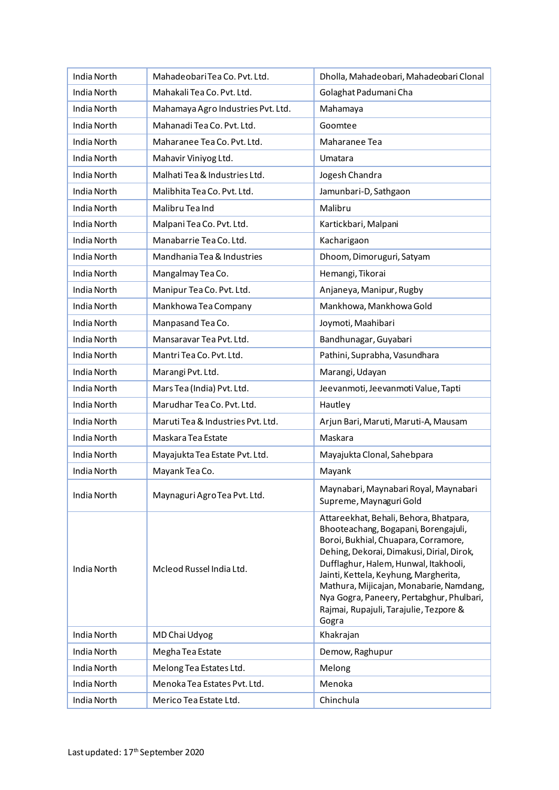| <b>India North</b> | MahadeobariTea Co. Pvt. Ltd.       | Dholla, Mahadeobari, Mahadeobari Clonal                                                                                                                                                                                                                                                                                                                                                          |
|--------------------|------------------------------------|--------------------------------------------------------------------------------------------------------------------------------------------------------------------------------------------------------------------------------------------------------------------------------------------------------------------------------------------------------------------------------------------------|
| India North        | Mahakali Tea Co. Pvt. Ltd.         | Golaghat Padumani Cha                                                                                                                                                                                                                                                                                                                                                                            |
| India North        | Mahamaya Agro Industries Pvt. Ltd. | Mahamaya                                                                                                                                                                                                                                                                                                                                                                                         |
| India North        | Mahanadi Tea Co. Pvt. Ltd.         | Goomtee                                                                                                                                                                                                                                                                                                                                                                                          |
| India North        | Maharanee Tea Co. Pvt. Ltd.        | Maharanee Tea                                                                                                                                                                                                                                                                                                                                                                                    |
| India North        | Mahavir Viniyog Ltd.               | Umatara                                                                                                                                                                                                                                                                                                                                                                                          |
| India North        | Malhati Tea & Industries Ltd.      | Jogesh Chandra                                                                                                                                                                                                                                                                                                                                                                                   |
| India North        | Malibhita Tea Co. Pvt. Ltd.        | Jamunbari-D, Sathgaon                                                                                                                                                                                                                                                                                                                                                                            |
| India North        | Malibru Tea Ind                    | Malibru                                                                                                                                                                                                                                                                                                                                                                                          |
| India North        | Malpani Tea Co. Pvt. Ltd.          | Kartickbari, Malpani                                                                                                                                                                                                                                                                                                                                                                             |
| India North        | Manabarrie Tea Co. Ltd.            | Kacharigaon                                                                                                                                                                                                                                                                                                                                                                                      |
| <b>India North</b> | Mandhania Tea & Industries         | Dhoom, Dimoruguri, Satyam                                                                                                                                                                                                                                                                                                                                                                        |
| <b>India North</b> | Mangalmay Tea Co.                  | Hemangi, Tikorai                                                                                                                                                                                                                                                                                                                                                                                 |
| India North        | Manipur Tea Co. Pvt. Ltd.          | Anjaneya, Manipur, Rugby                                                                                                                                                                                                                                                                                                                                                                         |
| <b>India North</b> | Mankhowa Tea Company               | Mankhowa, Mankhowa Gold                                                                                                                                                                                                                                                                                                                                                                          |
| India North        | Manpasand Tea Co.                  | Joymoti, Maahibari                                                                                                                                                                                                                                                                                                                                                                               |
| India North        | Mansaravar Tea Pvt. Ltd.           | Bandhunagar, Guyabari                                                                                                                                                                                                                                                                                                                                                                            |
| India North        | Mantri Tea Co. Pvt. Ltd.           | Pathini, Suprabha, Vasundhara                                                                                                                                                                                                                                                                                                                                                                    |
| India North        | Marangi Pvt. Ltd.                  | Marangi, Udayan                                                                                                                                                                                                                                                                                                                                                                                  |
| India North        | Mars Tea (India) Pvt. Ltd.         | Jeevanmoti, Jeevanmoti Value, Tapti                                                                                                                                                                                                                                                                                                                                                              |
| <b>India North</b> | Marudhar Tea Co. Pvt. Ltd.         | Hautley                                                                                                                                                                                                                                                                                                                                                                                          |
| India North        | Maruti Tea & Industries Pvt. Ltd.  | Arjun Bari, Maruti, Maruti-A, Mausam                                                                                                                                                                                                                                                                                                                                                             |
| <b>India North</b> | Maskara Tea Estate                 | Maskara                                                                                                                                                                                                                                                                                                                                                                                          |
| India North        | Mayajukta Tea Estate Pvt. Ltd.     | Mayajukta Clonal, Sahebpara                                                                                                                                                                                                                                                                                                                                                                      |
| India North        | Mayank Tea Co.                     | Mayank                                                                                                                                                                                                                                                                                                                                                                                           |
| India North        | Maynaguri AgroTea Pvt. Ltd.        | Maynabari, Maynabari Royal, Maynabari<br>Supreme, Maynaguri Gold                                                                                                                                                                                                                                                                                                                                 |
| India North        | Mcleod Russel India Ltd.           | Attareekhat, Behali, Behora, Bhatpara,<br>Bhooteachang, Bogapani, Borengajuli,<br>Boroi, Bukhial, Chuapara, Corramore,<br>Dehing, Dekorai, Dimakusi, Dirial, Dirok,<br>Dufflaghur, Halem, Hunwal, Itakhooli,<br>Jainti, Kettela, Keyhung, Margherita,<br>Mathura, Mijicajan, Monabarie, Namdang,<br>Nya Gogra, Paneery, Pertabghur, Phulbari,<br>Rajmai, Rupajuli, Tarajulie, Tezpore &<br>Gogra |
| India North        | MD Chai Udyog                      | Khakrajan                                                                                                                                                                                                                                                                                                                                                                                        |
| India North        | Megha Tea Estate                   | Demow, Raghupur                                                                                                                                                                                                                                                                                                                                                                                  |
| India North        | Melong Tea Estates Ltd.            | Melong                                                                                                                                                                                                                                                                                                                                                                                           |
| India North        | Menoka Tea Estates Pvt. Ltd.       | Menoka                                                                                                                                                                                                                                                                                                                                                                                           |
| India North        | Merico Tea Estate Ltd.             | Chinchula                                                                                                                                                                                                                                                                                                                                                                                        |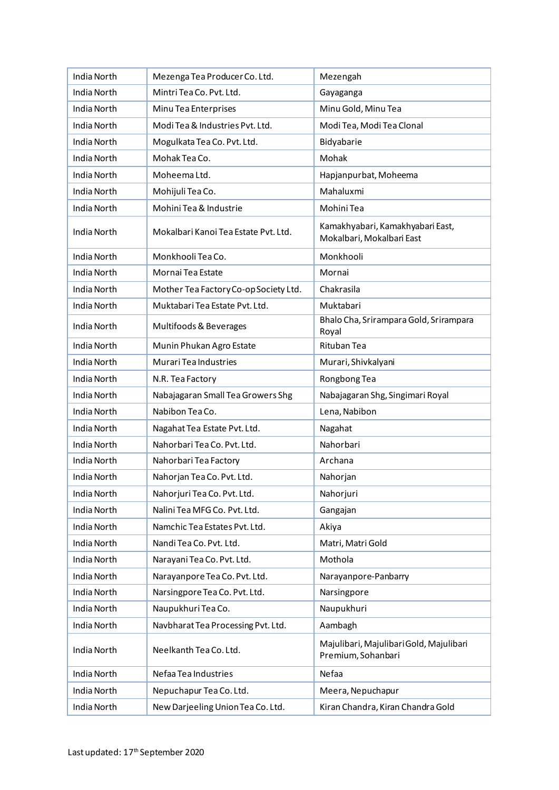| India North        | Mezenga Tea Producer Co. Ltd.         | Mezengah                                                      |
|--------------------|---------------------------------------|---------------------------------------------------------------|
| India North        | Mintri Tea Co. Pvt. Ltd.              | Gayaganga                                                     |
| India North        | Minu Tea Enterprises                  | Minu Gold, Minu Tea                                           |
| India North        | Modi Tea & Industries Pvt. Ltd.       | Modi Tea, Modi Tea Clonal                                     |
| India North        | Mogulkata Tea Co. Pvt. Ltd.           | Bidyabarie                                                    |
| India North        | Mohak Tea Co.                         | Mohak                                                         |
| India North        | Moheema Ltd.                          | Hapjanpurbat, Moheema                                         |
| India North        | Mohijuli Tea Co.                      | Mahaluxmi                                                     |
| India North        | Mohini Tea & Industrie                | Mohini Tea                                                    |
| India North        | Mokalbari Kanoi Tea Estate Pvt. Ltd.  | Kamakhyabari, Kamakhyabari East,<br>Mokalbari, Mokalbari East |
| India North        | Monkhooli Tea Co.                     | Monkhooli                                                     |
| India North        | Mornai Tea Estate                     | Mornai                                                        |
| India North        | Mother Tea Factory Co-op Society Ltd. | Chakrasila                                                    |
| <b>India North</b> | Muktabari Tea Estate Pvt. Ltd.        | Muktabari                                                     |
| India North        | Multifoods & Beverages                | Bhalo Cha, Srirampara Gold, Srirampara<br>Royal               |
| India North        | Munin Phukan Agro Estate              | <b>Rituban Tea</b>                                            |
| India North        | Murari Tea Industries                 | Murari, Shivkalyani                                           |
| India North        | N.R. Tea Factory                      | Rongbong Tea                                                  |
| India North        | Nabajagaran Small Tea Growers Shg     | Nabajagaran Shg, Singimari Royal                              |
| India North        | Nabibon Tea Co.                       | Lena, Nabibon                                                 |
| India North        | Nagahat Tea Estate Pvt. Ltd.          | Nagahat                                                       |
| India North        | Nahorbari Tea Co. Pvt. Ltd.           | Nahorbari                                                     |
| India North        | Nahorbari Tea Factory                 | Archana                                                       |
| India North        | Nahorjan Tea Co. Pvt. Ltd.            | Nahorjan                                                      |
| India North        | Nahorjuri Tea Co. Pvt. Ltd.           | Nahorjuri                                                     |
| India North        | Nalini Tea MFG Co. Pvt. Ltd.          | Gangajan                                                      |
| India North        | Namchic Tea Estates Pvt. Ltd.         | Akiya                                                         |
| India North        | Nandi Tea Co. Pvt. Ltd.               | Matri, Matri Gold                                             |
| India North        | Narayani Tea Co. Pvt. Ltd.            | Mothola                                                       |
| India North        | Narayanpore Tea Co. Pvt. Ltd.         | Narayanpore-Panbarry                                          |
| India North        | Narsingpore Tea Co. Pvt. Ltd.         | Narsingpore                                                   |
| <b>India North</b> | Naupukhuri Tea Co.                    | Naupukhuri                                                    |
| India North        | Navbharat Tea Processing Pvt. Ltd.    | Aambagh                                                       |
| India North        | Neelkanth Tea Co. Ltd.                | Majulibari, Majulibari Gold, Majulibari<br>Premium, Sohanbari |
| India North        | Nefaa Tea Industries                  | Nefaa                                                         |
| India North        | Nepuchapur Tea Co. Ltd.               | Meera, Nepuchapur                                             |
| India North        | New Darjeeling Union Tea Co. Ltd.     | Kiran Chandra, Kiran Chandra Gold                             |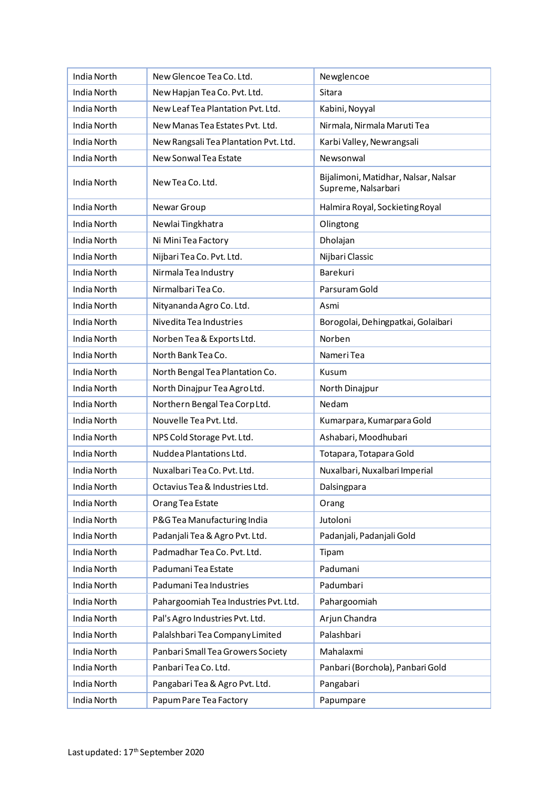| India North        | New Glencoe Tea Co. Ltd.              | Newglencoe                                                  |
|--------------------|---------------------------------------|-------------------------------------------------------------|
| India North        | New Hapjan Tea Co. Pvt. Ltd.          | Sitara                                                      |
| India North        | New Leaf Tea Plantation Pvt. Ltd.     | Kabini, Noyyal                                              |
| India North        | New Manas Tea Estates Pvt. Ltd.       | Nirmala, Nirmala Maruti Tea                                 |
| India North        | New Rangsali Tea Plantation Pvt. Ltd. | Karbi Valley, Newrangsali                                   |
| India North        | New Sonwal Tea Estate                 | Newsonwal                                                   |
| India North        | New Tea Co. Ltd.                      | Bijalimoni, Matidhar, Nalsar, Nalsar<br>Supreme, Nalsarbari |
| India North        | Newar Group                           | Halmira Royal, Sockieting Royal                             |
| India North        | Newlai Tingkhatra                     | Olingtong                                                   |
| India North        | Ni Mini Tea Factory                   | Dholajan                                                    |
| India North        | Nijbari Tea Co. Pvt. Ltd.             | Nijbari Classic                                             |
| India North        | Nirmala Tea Industry                  | Barekuri                                                    |
| India North        | Nirmalbari Tea Co.                    | Parsuram Gold                                               |
| India North        | Nityananda Agro Co. Ltd.              | Asmi                                                        |
| <b>India North</b> | Nivedita Tea Industries               | Borogolai, Dehingpatkai, Golaibari                          |
| <b>India North</b> | Norben Tea & Exports Ltd.             | Norben                                                      |
| India North        | North Bank Tea Co.                    | Nameri Tea                                                  |
| <b>India North</b> | North Bengal Tea Plantation Co.       | Kusum                                                       |
| India North        | North Dinajpur Tea AgroLtd.           | North Dinajpur                                              |
| India North        | Northern Bengal Tea Corp Ltd.         | Nedam                                                       |
| India North        | Nouvelle Tea Pvt. Ltd.                | Kumarpara, Kumarpara Gold                                   |
| <b>India North</b> | NPS Cold Storage Pvt. Ltd.            | Ashabari, Moodhubari                                        |
| India North        | Nuddea Plantations Ltd.               | Totapara, Totapara Gold                                     |
| India North        | Nuxalbari Tea Co. Pvt. Ltd.           | Nuxalbari, Nuxalbari Imperial                               |
| India North        | Octavius Tea & Industries Ltd.        | Dalsingpara                                                 |
| India North        | Orang Tea Estate                      | Orang                                                       |
| India North        | P&G Tea Manufacturing India           | Jutoloni                                                    |
| India North        | Padanjali Tea & Agro Pvt. Ltd.        | Padanjali, Padanjali Gold                                   |
| India North        | Padmadhar Tea Co. Pvt. Ltd.           | Tipam                                                       |
| India North        | Padumani Tea Estate                   | Padumani                                                    |
| India North        | Padumani Tea Industries               | Padumbari                                                   |
| <b>India North</b> | Pahargoomiah Tea Industries Pvt. Ltd. | Pahargoomiah                                                |
| India North        | Pal's Agro Industries Pvt. Ltd.       | Arjun Chandra                                               |
| India North        | Palalshbari Tea Company Limited       | Palashbari                                                  |
| India North        | Panbari Small Tea Growers Society     | Mahalaxmi                                                   |
| India North        | Panbari Tea Co. Ltd.                  | Panbari (Borchola), Panbari Gold                            |
| India North        | Pangabari Tea & Agro Pvt. Ltd.        | Pangabari                                                   |
| India North        | Papum Pare Tea Factory                | Papumpare                                                   |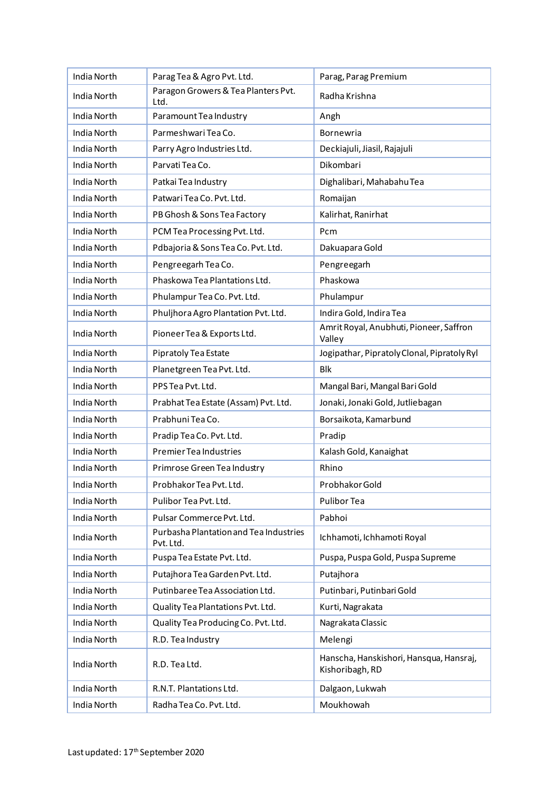| India North        | Parag Tea & Agro Pvt. Ltd.                          | Parag, Parag Premium                                       |
|--------------------|-----------------------------------------------------|------------------------------------------------------------|
| India North        | Paragon Growers & Tea Planters Pvt.<br>Ltd.         | Radha Krishna                                              |
| India North        | Paramount Tea Industry                              | Angh                                                       |
| India North        | Parmeshwari Tea Co.                                 | Bornewria                                                  |
| India North        | Parry Agro Industries Ltd.                          | Deckiajuli, Jiasil, Rajajuli                               |
| India North        | Parvati Tea Co.                                     | Dikombari                                                  |
| India North        | Patkai Tea Industry                                 | Dighalibari, Mahabahu Tea                                  |
| India North        | Patwari Tea Co. Pvt. Ltd.                           | Romaijan                                                   |
| India North        | PB Ghosh & Sons Tea Factory                         | Kalirhat, Ranirhat                                         |
| India North        | PCM Tea Processing Pvt. Ltd.                        | Pcm                                                        |
| India North        | Pdbajoria & Sons Tea Co. Pvt. Ltd.                  | Dakuapara Gold                                             |
| India North        | Pengreegarh Tea Co.                                 | Pengreegarh                                                |
| India North        | Phaskowa Tea Plantations Ltd.                       | Phaskowa                                                   |
| <b>India North</b> | Phulampur Tea Co. Pvt. Ltd.                         | Phulampur                                                  |
| India North        | Phuljhora Agro Plantation Pvt. Ltd.                 | Indira Gold, Indira Tea                                    |
| India North        | Pioneer Tea & Exports Ltd.                          | Amrit Royal, Anubhuti, Pioneer, Saffron<br>Valley          |
| India North        | Pipratoly Tea Estate                                | Jogipathar, Pipratoly Clonal, Pipratoly Ryl                |
| India North        | Planetgreen Tea Pvt. Ltd.                           | <b>Blk</b>                                                 |
| India North        | PPS Tea Pvt. Ltd.                                   | Mangal Bari, Mangal Bari Gold                              |
| India North        | Prabhat Tea Estate (Assam) Pvt. Ltd.                | Jonaki, Jonaki Gold, Jutliebagan                           |
| India North        | Prabhuni Tea Co.                                    | Borsaikota, Kamarbund                                      |
| India North        | Pradip Tea Co. Pvt. Ltd.                            | Pradip                                                     |
| India North        | Premier Tea Industries                              | Kalash Gold, Kanaighat                                     |
| India North        | Primrose Green Tea Industry                         | Rhino                                                      |
| India North        | Probhakor Tea Pvt. Ltd.                             | Probhakor Gold                                             |
| India North        | Pulibor Tea Pvt. Ltd.                               | Pulibor Tea                                                |
| <b>India North</b> | Pulsar Commerce Pvt. Ltd.                           | Pabhoi                                                     |
| India North        | Purbasha Plantation and Tea Industries<br>Pvt. Ltd. | Ichhamoti, Ichhamoti Royal                                 |
| India North        | Puspa Tea Estate Pvt. Ltd.                          | Puspa, Puspa Gold, Puspa Supreme                           |
| India North        | Putajhora Tea Garden Pvt. Ltd.                      | Putajhora                                                  |
| India North        | Putinbaree Tea Association Ltd.                     | Putinbari, Putinbari Gold                                  |
| India North        | Quality Tea Plantations Pvt. Ltd.                   | Kurti, Nagrakata                                           |
| India North        | Quality Tea Producing Co. Pvt. Ltd.                 | Nagrakata Classic                                          |
| India North        | R.D. Tea Industry                                   | Melengi                                                    |
| India North        | R.D. Tea Ltd.                                       | Hanscha, Hanskishori, Hansqua, Hansraj,<br>Kishoribagh, RD |
| India North        | R.N.T. Plantations Ltd.                             | Dalgaon, Lukwah                                            |
| India North        | Radha Tea Co. Pvt. Ltd.                             | Moukhowah                                                  |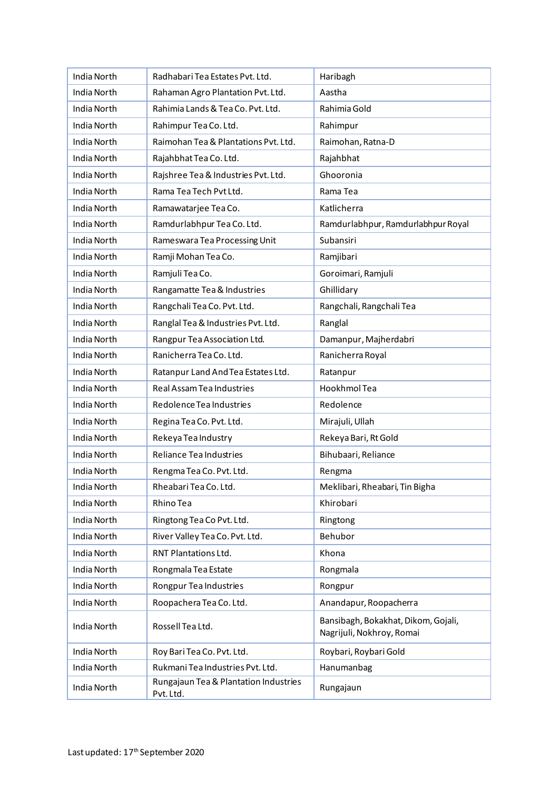| India North        | Radhabari Tea Estates Pvt. Ltd.                    | Haribagh                                                         |
|--------------------|----------------------------------------------------|------------------------------------------------------------------|
| India North        | Rahaman Agro Plantation Pvt. Ltd.                  | Aastha                                                           |
| India North        | Rahimia Lands & Tea Co. Pvt. Ltd.                  | Rahimia Gold                                                     |
| India North        | Rahimpur Tea Co. Ltd.                              | Rahimpur                                                         |
| India North        | Raimohan Tea & Plantations Pvt. Ltd.               | Raimohan, Ratna-D                                                |
| India North        | Rajahbhat Tea Co. Ltd.                             | Rajahbhat                                                        |
| India North        | Rajshree Tea & Industries Pvt. Ltd.                | Ghooronia                                                        |
| India North        | Rama Tea Tech Pvt Ltd.                             | Rama Tea                                                         |
| India North        | Ramawatarjee Tea Co.                               | Katlicherra                                                      |
| India North        | Ramdurlabhpur Tea Co. Ltd.                         | Ramdurlabhpur, Ramdurlabhpur Royal                               |
| India North        | Rameswara Tea Processing Unit                      | Subansiri                                                        |
| <b>India North</b> | Ramji Mohan Tea Co.                                | Ramjibari                                                        |
| India North        | Ramjuli Tea Co.                                    | Goroimari, Ramjuli                                               |
| India North        | Rangamatte Tea & Industries                        | Ghillidary                                                       |
| India North        | Rangchali Tea Co. Pvt. Ltd.                        | Rangchali, Rangchali Tea                                         |
| India North        | Ranglal Tea & Industries Pvt. Ltd.                 | Ranglal                                                          |
| India North        | Rangpur Tea Association Ltd.                       | Damanpur, Majherdabri                                            |
| India North        | Ranicherra Tea Co. Ltd.                            | Ranicherra Royal                                                 |
| India North        | Ratanpur Land And Tea Estates Ltd.                 | Ratanpur                                                         |
| India North        | Real Assam Tea Industries                          | Hookhmol Tea                                                     |
| India North        | Redolence Tea Industries                           | Redolence                                                        |
| India North        | Regina Tea Co. Pvt. Ltd.                           | Mirajuli, Ullah                                                  |
| India North        | Rekeya Tea Industry                                | Rekeya Bari, Rt Gold                                             |
| India North        | <b>Reliance Tea Industries</b>                     | Bihubaari, Reliance                                              |
| India North        | Rengma Tea Co. Pvt. Ltd.                           | Rengma                                                           |
| India North        | Rheabari Tea Co. Ltd.                              | Meklibari, Rheabari, Tin Bigha                                   |
| India North        | Rhino Tea                                          | Khirobari                                                        |
| India North        | Ringtong Tea Co Pvt. Ltd.                          | Ringtong                                                         |
| India North        | River Valley Tea Co. Pvt. Ltd.                     | Behubor                                                          |
| India North        | RNT Plantations Ltd.                               | Khona                                                            |
| India North        | Rongmala Tea Estate                                | Rongmala                                                         |
| India North        | Rongpur Tea Industries                             | Rongpur                                                          |
| India North        | Roopachera Tea Co. Ltd.                            | Anandapur, Roopacherra                                           |
| India North        | Rossell Tea Ltd.                                   | Bansibagh, Bokakhat, Dikom, Gojali,<br>Nagrijuli, Nokhroy, Romai |
| India North        | Roy Bari Tea Co. Pvt. Ltd.                         | Roybari, Roybari Gold                                            |
| India North        | Rukmani Tea Industries Pvt. Ltd.                   | Hanumanbag                                                       |
| India North        | Rungajaun Tea & Plantation Industries<br>Pvt. Ltd. | Rungajaun                                                        |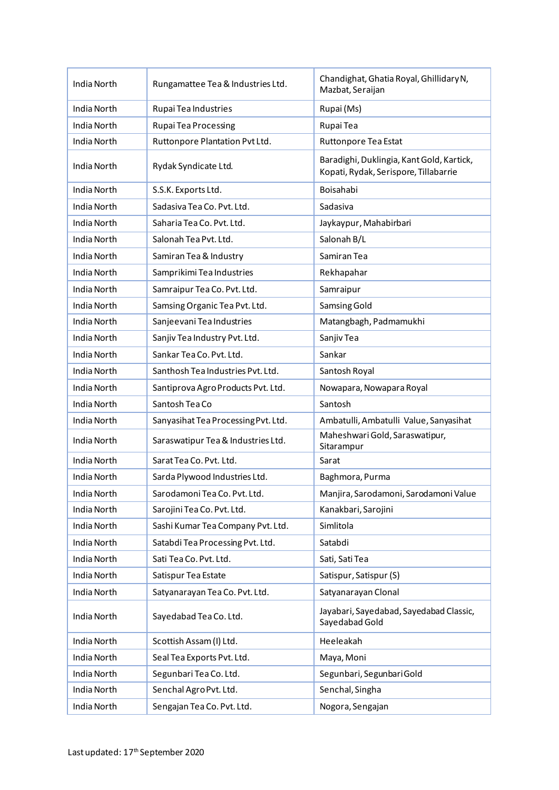| India North        | Rungamattee Tea & Industries Ltd.   | Chandighat, Ghatia Royal, Ghillidary N,<br>Mazbat, Seraijan                        |
|--------------------|-------------------------------------|------------------------------------------------------------------------------------|
| India North        | Rupai Tea Industries                | Rupai (Ms)                                                                         |
| India North        | Rupai Tea Processing                | Rupai Tea                                                                          |
| India North        | Ruttonpore Plantation Pvt Ltd.      | Ruttonpore Tea Estat                                                               |
| India North        | Rydak Syndicate Ltd.                | Baradighi, Duklingia, Kant Gold, Kartick,<br>Kopati, Rydak, Serispore, Tillabarrie |
| India North        | S.S.K. Exports Ltd.                 | Boisahabi                                                                          |
| India North        | Sadasiva Tea Co. Pvt. Ltd.          | Sadasiva                                                                           |
| India North        | Saharia Tea Co. Pvt. Ltd.           | Jaykaypur, Mahabirbari                                                             |
| India North        | Salonah Tea Pvt. Ltd.               | Salonah B/L                                                                        |
| India North        | Samiran Tea & Industry              | Samiran Tea                                                                        |
| India North        | Samprikimi Tea Industries           | Rekhapahar                                                                         |
| India North        | Samraipur Tea Co. Pvt. Ltd.         | Samraipur                                                                          |
| India North        | Samsing Organic Tea Pvt. Ltd.       | Samsing Gold                                                                       |
| India North        | Sanjeevani Tea Industries           | Matangbagh, Padmamukhi                                                             |
| India North        | Sanjiv Tea Industry Pvt. Ltd.       | Sanjiv Tea                                                                         |
| India North        | Sankar Tea Co. Pvt. Ltd.            | Sankar                                                                             |
| India North        | Santhosh Tea Industries Pvt. Ltd.   | Santosh Royal                                                                      |
| India North        | Santiprova Agro Products Pvt. Ltd.  | Nowapara, Nowapara Royal                                                           |
| India North        | Santosh Tea Co                      | Santosh                                                                            |
| India North        | Sanyasihat Tea Processing Pvt. Ltd. | Ambatulli, Ambatulli Value, Sanyasihat                                             |
| <b>India North</b> | Saraswatipur Tea & Industries Ltd.  | Maheshwari Gold, Saraswatipur,<br>Sitarampur                                       |
| India North        | Sarat Tea Co. Pvt. Ltd.             | Sarat                                                                              |
| <b>India North</b> | Sarda Plywood Industries Ltd.       | Baghmora, Purma                                                                    |
| <b>India North</b> | Sarodamoni Tea Co. Pvt. Ltd.        | Manjira, Sarodamoni, Sarodamoni Value                                              |
| India North        | Sarojini Tea Co. Pvt. Ltd.          | Kanakbari, Sarojini                                                                |
| India North        | Sashi Kumar Tea Company Pvt. Ltd.   | Simlitola                                                                          |
| India North        | Satabdi Tea Processing Pvt. Ltd.    | Satabdi                                                                            |
| India North        | Sati Tea Co. Pvt. Ltd.              | Sati, Sati Tea                                                                     |
| India North        | Satispur Tea Estate                 | Satispur, Satispur (S)                                                             |
| India North        | Satyanarayan Tea Co. Pvt. Ltd.      | Satyanarayan Clonal                                                                |
| India North        | Sayedabad Tea Co. Ltd.              | Jayabari, Sayedabad, Sayedabad Classic,<br>Sayedabad Gold                          |
| India North        | Scottish Assam (I) Ltd.             | Heeleakah                                                                          |
| India North        | Seal Tea Exports Pvt. Ltd.          | Maya, Moni                                                                         |
| India North        | Segunbari Tea Co. Ltd.              | Segunbari, Segunbari Gold                                                          |
| India North        | Senchal Agro Pvt. Ltd.              | Senchal, Singha                                                                    |
| India North        | Sengajan Tea Co. Pvt. Ltd.          | Nogora, Sengajan                                                                   |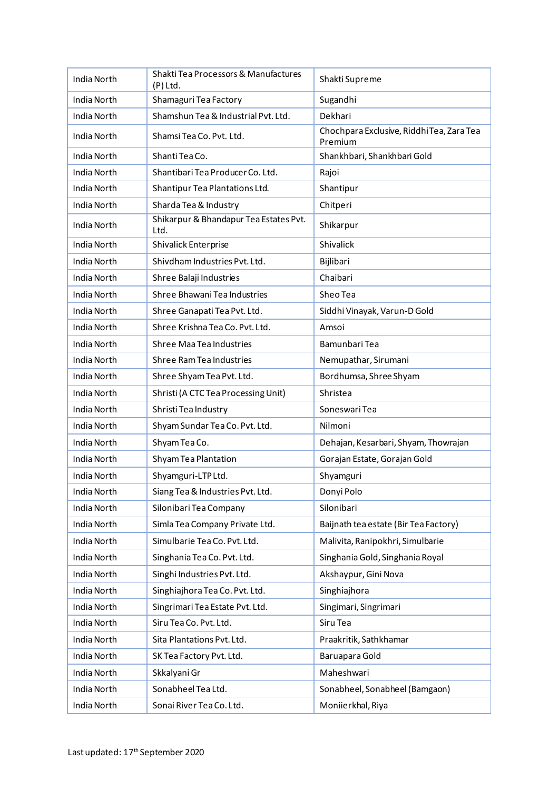| India North        | Shakti Tea Processors & Manufactures<br>(P) Ltd. | Shakti Supreme                                       |
|--------------------|--------------------------------------------------|------------------------------------------------------|
| India North        | Shamaguri Tea Factory                            | Sugandhi                                             |
| India North        | Shamshun Tea & Industrial Pvt. Ltd.              | Dekhari                                              |
| India North        | Shamsi Tea Co. Pvt. Ltd.                         | Chochpara Exclusive, Riddhi Tea, Zara Tea<br>Premium |
| India North        | Shanti Tea Co.                                   | Shankhbari, Shankhbari Gold                          |
| India North        | Shantibari Tea Producer Co. Ltd.                 | Rajoi                                                |
| <b>India North</b> | Shantipur Tea Plantations Ltd.                   | Shantipur                                            |
| India North        | Sharda Tea & Industry                            | Chitperi                                             |
| India North        | Shikarpur & Bhandapur Tea Estates Pvt.<br>Ltd.   | Shikarpur                                            |
| India North        | Shivalick Enterprise                             | Shivalick                                            |
| India North        | Shivdham Industries Pvt. Ltd.                    | Bijlibari                                            |
| India North        | Shree Balaji Industries                          | Chaibari                                             |
| <b>India North</b> | Shree Bhawani Tea Industries                     | Sheo Tea                                             |
| India North        | Shree Ganapati Tea Pvt. Ltd.                     | Siddhi Vinayak, Varun-D Gold                         |
| India North        | Shree Krishna Tea Co. Pvt. Ltd.                  | Amsoi                                                |
| India North        | <b>Shree Maa Tea Industries</b>                  | Bamunbari Tea                                        |
| India North        | Shree Ram Tea Industries                         | Nemupathar, Sirumani                                 |
| India North        | Shree Shyam Tea Pvt. Ltd.                        | Bordhumsa, Shree Shyam                               |
| India North        | Shristi (A CTC Tea Processing Unit)              | Shristea                                             |
| India North        | Shristi Tea Industry                             | Soneswari Tea                                        |
| India North        | Shyam Sundar Tea Co. Pvt. Ltd.                   | Nilmoni                                              |
| India North        | Shyam Tea Co.                                    | Dehajan, Kesarbari, Shyam, Thowrajan                 |
| India North        | Shyam Tea Plantation                             | Gorajan Estate, Gorajan Gold                         |
| India North        | Shyamguri-LTPLtd.                                | Shyamguri                                            |
| India North        | Siang Tea & Industries Pvt. Ltd.                 | Donyi Polo                                           |
| India North        | Silonibari Tea Company                           | Silonibari                                           |
| India North        | Simla Tea Company Private Ltd.                   | Baijnath tea estate (Bir Tea Factory)                |
| India North        | Simulbarie Tea Co. Pvt. Ltd.                     | Malivita, Ranipokhri, Simulbarie                     |
| India North        | Singhania Tea Co. Pvt. Ltd.                      | Singhania Gold, Singhania Royal                      |
| India North        | Singhi Industries Pvt. Ltd.                      | Akshaypur, Gini Nova                                 |
| India North        | Singhiajhora Tea Co. Pvt. Ltd.                   | Singhiajhora                                         |
| India North        | Singrimari Tea Estate Pvt. Ltd.                  | Singimari, Singrimari                                |
| India North        | Siru Tea Co. Pvt. Ltd.                           | Siru Tea                                             |
| India North        | Sita Plantations Pvt. Ltd.                       | Praakritik, Sathkhamar                               |
| India North        | SK Tea Factory Pvt. Ltd.                         | Baruapara Gold                                       |
| India North        | Skkalyani Gr                                     | Maheshwari                                           |
| India North        | Sonabheel Tea Ltd.                               | Sonabheel, Sonabheel (Bamgaon)                       |
| India North        | Sonai River Tea Co. Ltd.                         | Moniierkhal, Riya                                    |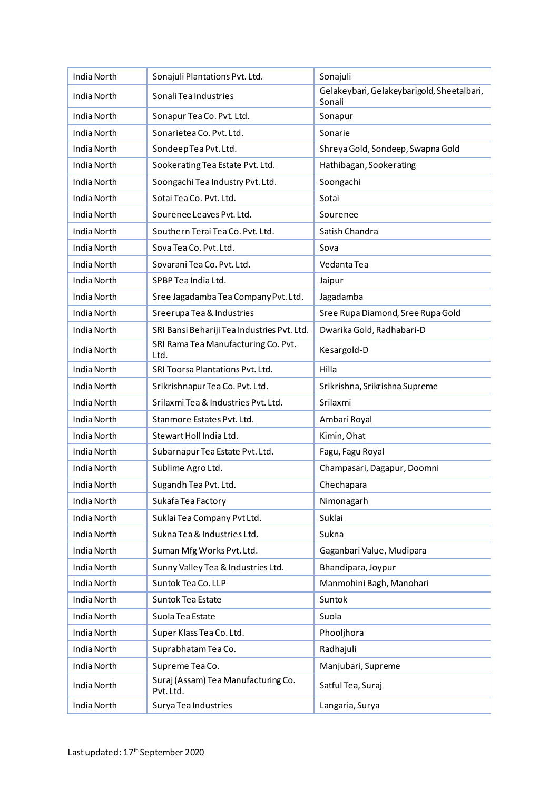| India North        | Sonajuli Plantations Pvt. Ltd.                   | Sonajuli                                             |
|--------------------|--------------------------------------------------|------------------------------------------------------|
| India North        | Sonali Tea Industries                            | Gelakeybari, Gelakeybarigold, Sheetalbari,<br>Sonali |
| India North        | Sonapur Tea Co. Pvt. Ltd.                        | Sonapur                                              |
| India North        | Sonarietea Co. Pvt. Ltd.                         | Sonarie                                              |
| India North        | SondeepTea Pvt. Ltd.                             | Shreya Gold, Sondeep, Swapna Gold                    |
| India North        | Sookerating Tea Estate Pvt. Ltd.                 | Hathibagan, Sookerating                              |
| <b>India North</b> | Soongachi Tea Industry Pvt. Ltd.                 | Soongachi                                            |
| <b>India North</b> | Sotai Tea Co. Pvt. Ltd.                          | Sotai                                                |
| India North        | Sourenee Leaves Pvt. Ltd.                        | Sourenee                                             |
| India North        | Southern Terai Tea Co. Pvt. Ltd.                 | Satish Chandra                                       |
| India North        | Sova Tea Co. Pvt. Ltd.                           | Sova                                                 |
| India North        | Sovarani Tea Co. Pvt. Ltd.                       | Vedanta Tea                                          |
| India North        | SPBP Tea India Ltd.                              | Jaipur                                               |
| India North        | Sree Jagadamba Tea Company Pvt. Ltd.             | Jagadamba                                            |
| India North        | Sreerupa Tea & Industries                        | Sree Rupa Diamond, Sree Rupa Gold                    |
| India North        | SRI Bansi Behariji Tea Industries Pvt. Ltd.      | Dwarika Gold, Radhabari-D                            |
| India North        | SRI Rama Tea Manufacturing Co. Pvt.<br>Ltd.      | Kesargold-D                                          |
| India North        | SRI Toorsa Plantations Pvt. Ltd.                 | Hilla                                                |
| India North        | Srikrishnapur Tea Co. Pvt. Ltd.                  | Srikrishna, Srikrishna Supreme                       |
| India North        | Srilaxmi Tea & Industries Pvt. Ltd.              | Srilaxmi                                             |
| India North        | Stanmore Estates Pyt. Ltd.                       | Ambari Royal                                         |
| <b>India North</b> | Stewart Holl India Ltd.                          | Kimin, Ohat                                          |
| India North        | Subarnapur Tea Estate Pvt. Ltd.                  | Fagu, Fagu Royal                                     |
| <b>India North</b> | Sublime Agro Ltd.                                | Champasari, Dagapur, Doomni                          |
| India North        | Sugandh Tea Pvt. Ltd.                            | Chechapara                                           |
| India North        | Sukafa Tea Factory                               | Nimonagarh                                           |
| India North        | Suklai Tea Company Pvt Ltd.                      | Suklai                                               |
| India North        | Sukna Tea & Industries Ltd.                      | Sukna                                                |
| <b>India North</b> | Suman Mfg Works Pvt. Ltd.                        | Gaganbari Value, Mudipara                            |
| <b>India North</b> | Sunny Valley Tea & Industries Ltd.               | Bhandipara, Joypur                                   |
| India North        | Suntok Tea Co. LLP                               | Manmohini Bagh, Manohari                             |
| India North        | Suntok Tea Estate                                | Suntok                                               |
| India North        | Suola Tea Estate                                 | Suola                                                |
| India North        | Super Klass Tea Co. Ltd.                         | Phooljhora                                           |
| India North        | Suprabhatam Tea Co.                              | Radhajuli                                            |
| India North        | Supreme Tea Co.                                  | Manjubari, Supreme                                   |
| India North        | Suraj (Assam) Tea Manufacturing Co.<br>Pvt. Ltd. | Satful Tea, Suraj                                    |
| India North        | Surya Tea Industries                             | Langaria, Surya                                      |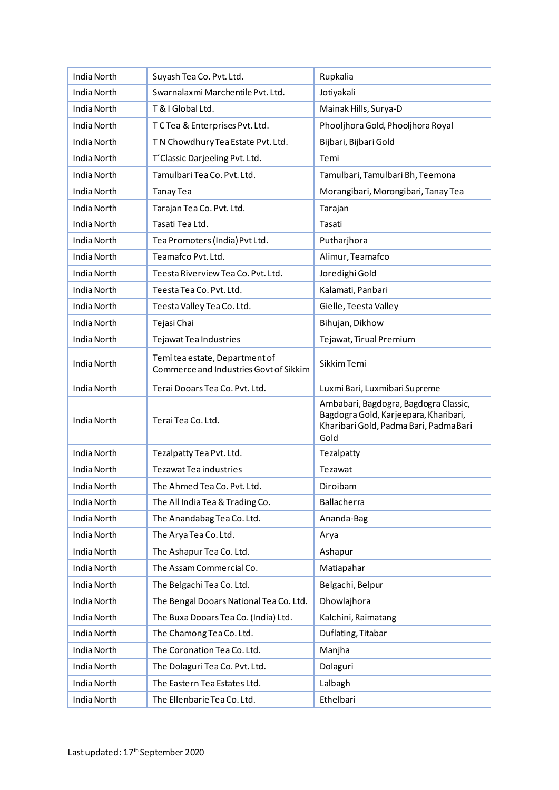| India North        | Suyash Tea Co. Pvt. Ltd.                                                 | Rupkalia                                                                                                                         |
|--------------------|--------------------------------------------------------------------------|----------------------------------------------------------------------------------------------------------------------------------|
| India North        | Swarnalaxmi Marchentile Pvt. Ltd.                                        | Jotiyakali                                                                                                                       |
| India North        | T & I Global Ltd.                                                        | Mainak Hills, Surya-D                                                                                                            |
| India North        | T C Tea & Enterprises Pvt. Ltd.                                          | Phooljhora Gold, Phooljhora Royal                                                                                                |
| India North        | T N Chowdhury Tea Estate Pvt. Ltd.                                       | Bijbari, Bijbari Gold                                                                                                            |
| India North        | T'Classic Darjeeling Pvt. Ltd.                                           | Temi                                                                                                                             |
| India North        | Tamulbari Tea Co. Pvt. Ltd.                                              | Tamulbari, Tamulbari Bh, Teemona                                                                                                 |
| <b>India North</b> | <b>Tanay Tea</b>                                                         | Morangibari, Morongibari, Tanay Tea                                                                                              |
| India North        | Tarajan Tea Co. Pvt. Ltd.                                                | Tarajan                                                                                                                          |
| India North        | Tasati Tea Ltd.                                                          | Tasati                                                                                                                           |
| India North        | Tea Promoters (India) Pvt Ltd.                                           | Putharjhora                                                                                                                      |
| India North        | Teamafco Pvt. Ltd.                                                       | Alimur, Teamafco                                                                                                                 |
| India North        | Teesta Riverview Tea Co. Pvt. Ltd.                                       | Joredighi Gold                                                                                                                   |
| <b>India North</b> | Teesta Tea Co. Pvt. Ltd.                                                 | Kalamati, Panbari                                                                                                                |
| <b>India North</b> | Teesta Valley Tea Co. Ltd.                                               | Gielle, Teesta Valley                                                                                                            |
| India North        | Tejasi Chai                                                              | Bihujan, Dikhow                                                                                                                  |
| India North        | Tejawat Tea Industries                                                   | Tejawat, Tirual Premium                                                                                                          |
| India North        | Temi tea estate, Department of<br>Commerce and Industries Govt of Sikkim | Sikkim Temi                                                                                                                      |
| India North        | Terai Dooars Tea Co. Pvt. Ltd.                                           | Luxmi Bari, Luxmibari Supreme                                                                                                    |
| India North        | Terai Tea Co. Ltd.                                                       | Ambabari, Bagdogra, Bagdogra Classic,<br>Bagdogra Gold, Karjeepara, Kharibari,<br>Kharibari Gold, Padma Bari, Padma Bari<br>Gold |
| India North        | Tezalpatty Tea Pvt. Ltd.                                                 | Tezalpatty                                                                                                                       |
| India North        | <b>Tezawat Tea industries</b>                                            | Tezawat                                                                                                                          |
| India North        | The Ahmed Tea Co. Pvt. Ltd.                                              | Diroibam                                                                                                                         |
| India North        | The All India Tea & Trading Co.                                          | Ballacherra                                                                                                                      |
| India North        | The Anandabag Tea Co. Ltd.                                               | Ananda-Bag                                                                                                                       |
| India North        | The Arya Tea Co. Ltd.                                                    | Arya                                                                                                                             |
| India North        | The Ashapur Tea Co. Ltd.                                                 | Ashapur                                                                                                                          |
| India North        | The Assam Commercial Co.                                                 | Matiapahar                                                                                                                       |
| India North        | The Belgachi Tea Co. Ltd.                                                | Belgachi, Belpur                                                                                                                 |
| India North        | The Bengal Dooars National Tea Co. Ltd.                                  | Dhowlajhora                                                                                                                      |
| India North        | The Buxa Dooars Tea Co. (India) Ltd.                                     | Kalchini, Raimatang                                                                                                              |
| India North        | The Chamong Tea Co. Ltd.                                                 | Duflating, Titabar                                                                                                               |
| India North        | The Coronation Tea Co. Ltd.                                              | Manjha                                                                                                                           |
| India North        | The Dolaguri Tea Co. Pvt. Ltd.                                           | Dolaguri                                                                                                                         |
| India North        | The Eastern Tea Estates Ltd.                                             | Lalbagh                                                                                                                          |
| India North        | The Ellenbarie Tea Co. Ltd.                                              | Ethelbari                                                                                                                        |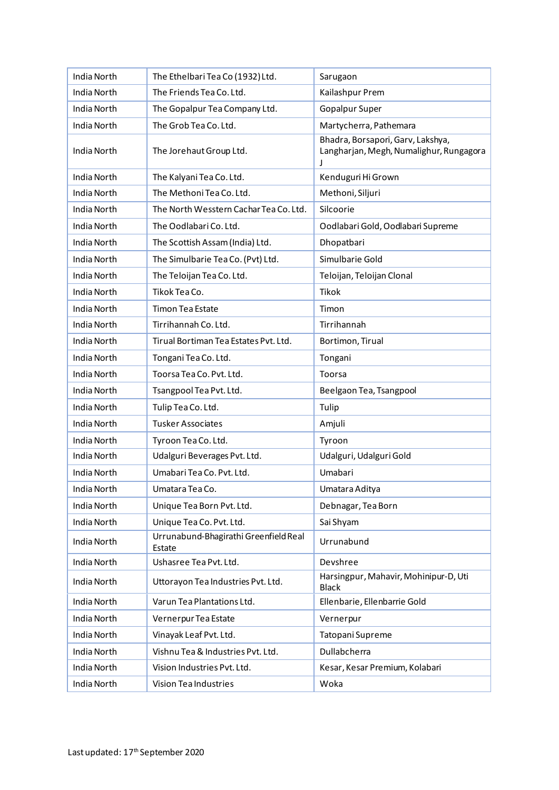| India North        | The Ethelbari Tea Co (1932) Ltd.                | Sarugaon                                                                     |
|--------------------|-------------------------------------------------|------------------------------------------------------------------------------|
| India North        | The Friends Tea Co. Ltd.                        | Kailashpur Prem                                                              |
| India North        | The Gopalpur Tea Company Ltd.                   | Gopalpur Super                                                               |
| India North        | The Grob Tea Co. Ltd.                           | Martycherra, Pathemara                                                       |
| India North        | The Jorehaut Group Ltd.                         | Bhadra, Borsapori, Garv, Lakshya,<br>Langharjan, Megh, Numalighur, Rungagora |
| India North        | The Kalyani Tea Co. Ltd.                        | Kenduguri Hi Grown                                                           |
| India North        | The Methoni Tea Co. Ltd.                        | Methoni, Siljuri                                                             |
| India North        | The North Wesstern Cachar Tea Co. Ltd.          | Silcoorie                                                                    |
| India North        | The Oodlabari Co. Ltd.                          | Oodlabari Gold, Oodlabari Supreme                                            |
| India North        | The Scottish Assam (India) Ltd.                 | Dhopatbari                                                                   |
| India North        | The Simulbarie Tea Co. (Pvt) Ltd.               | Simulbarie Gold                                                              |
| India North        | The Teloijan Tea Co. Ltd.                       | Teloijan, Teloijan Clonal                                                    |
| <b>India North</b> | Tikok Tea Co.                                   | <b>Tikok</b>                                                                 |
| India North        | <b>Timon Tea Estate</b>                         | Timon                                                                        |
| India North        | Tirrihannah Co. Ltd.                            | Tirrihannah                                                                  |
| India North        | Tirual Bortiman Tea Estates Pvt. Ltd.           | Bortimon, Tirual                                                             |
| India North        | Tongani Tea Co. Ltd.                            | Tongani                                                                      |
| India North        | Toorsa Tea Co. Pvt. Ltd.                        | Toorsa                                                                       |
| India North        | Tsangpool Tea Pvt. Ltd.                         | Beelgaon Tea, Tsangpool                                                      |
| India North        | Tulip Tea Co. Ltd.                              | Tulip                                                                        |
| India North        | <b>Tusker Associates</b>                        | Amjuli                                                                       |
| India North        | Tyroon Tea Co. Ltd.                             | Tyroon                                                                       |
| India North        | Udalguri Beverages Pvt. Ltd.                    | Udalguri, Udalguri Gold                                                      |
| India North        | Umabari Tea Co. Pvt. Ltd.                       | Umabari                                                                      |
| India North        | Umatara Tea Co.                                 | Umatara Aditya                                                               |
| India North        | Unique Tea Born Pvt. Ltd.                       | Debnagar, Tea Born                                                           |
| India North        | Unique Tea Co. Pvt. Ltd.                        | Sai Shyam                                                                    |
| India North        | Urrunabund-Bhagirathi Greenfield Real<br>Estate | Urrunabund                                                                   |
| India North        | Ushasree Tea Pvt. Ltd.                          | Devshree                                                                     |
| India North        | Uttorayon Tea Industries Pvt. Ltd.              | Harsingpur, Mahavir, Mohinipur-D, Uti<br><b>Black</b>                        |
| India North        | Varun Tea Plantations Ltd.                      | Ellenbarie, Ellenbarrie Gold                                                 |
| India North        | Vernerpur Tea Estate                            | Vernerpur                                                                    |
| India North        | Vinayak Leaf Pvt. Ltd.                          | Tatopani Supreme                                                             |
| India North        | Vishnu Tea & Industries Pvt. Ltd.               | Dullabcherra                                                                 |
| India North        | Vision Industries Pvt. Ltd.                     | Kesar, Kesar Premium, Kolabari                                               |
| India North        | Vision Tea Industries                           | Woka                                                                         |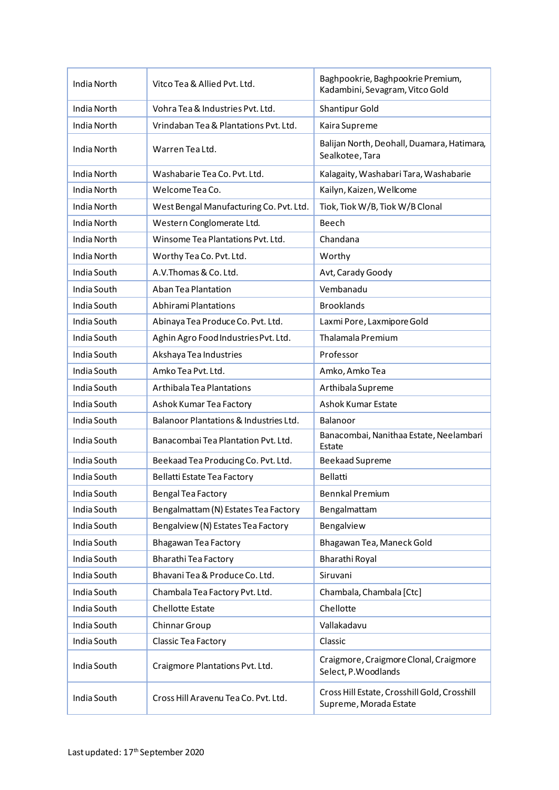| India North        | Vitco Tea & Allied Pyt. Ltd.            | Baghpookrie, Baghpookrie Premium,<br>Kadambini, Sevagram, Vitco Gold   |
|--------------------|-----------------------------------------|------------------------------------------------------------------------|
| India North        | Vohra Tea & Industries Pyt. Ltd.        | <b>Shantipur Gold</b>                                                  |
| <b>India North</b> | Vrindaban Tea & Plantations Pyt. Ltd.   | Kaira Supreme                                                          |
| India North        | Warren Tea Ltd.                         | Balijan North, Deohall, Duamara, Hatimara,<br>Sealkotee, Tara          |
| India North        | Washabarie Tea Co. Pyt. Ltd.            | Kalagaity, Washabari Tara, Washabarie                                  |
| India North        | Welcome Tea Co.                         | Kailyn, Kaizen, Wellcome                                               |
| India North        | West Bengal Manufacturing Co. Pvt. Ltd. | Tiok, Tiok W/B, Tiok W/B Clonal                                        |
| India North        | Western Conglomerate Ltd.               | Beech                                                                  |
| India North        | Winsome Tea Plantations Pvt. Ltd.       | Chandana                                                               |
| India North        | Worthy Tea Co. Pvt. Ltd.                | Worthy                                                                 |
| India South        | A.V. Thomas & Co. Ltd.                  | Avt, Carady Goody                                                      |
| India South        | Aban Tea Plantation                     | Vembanadu                                                              |
| India South        | <b>Abhirami Plantations</b>             | <b>Brooklands</b>                                                      |
| India South        | Abinaya Tea Produce Co. Pvt. Ltd.       | Laxmi Pore, Laxmipore Gold                                             |
| India South        | Aghin Agro Food Industries Pvt. Ltd.    | Thalamala Premium                                                      |
| India South        | Akshaya Tea Industries                  | Professor                                                              |
| India South        | Amko Tea Pvt. Ltd.                      | Amko, Amko Tea                                                         |
| India South        | Arthibala Tea Plantations               | Arthibala Supreme                                                      |
| India South        | Ashok Kumar Tea Factory                 | <b>Ashok Kumar Estate</b>                                              |
| India South        | Balanoor Plantations & Industries Ltd.  | Balanoor                                                               |
| India South        | Banacombai Tea Plantation Pvt. Ltd.     | Banacombai, Nanithaa Estate, Neelambari<br>Estate                      |
| India South        | Beekaad Tea Producing Co. Pvt. Ltd.     | <b>Beekaad Supreme</b>                                                 |
| India South        | Bellatti Estate Tea Factory             | Bellatti                                                               |
| India South        | Bengal Tea Factory                      | <b>Bennkal Premium</b>                                                 |
| India South        | Bengalmattam (N) Estates Tea Factory    | Bengalmattam                                                           |
| India South        | Bengalview (N) Estates Tea Factory      | Bengalview                                                             |
| India South        | Bhagawan Tea Factory                    | Bhagawan Tea, Maneck Gold                                              |
| India South        | Bharathi Tea Factory                    | Bharathi Royal                                                         |
| India South        | Bhavani Tea & Produce Co. Ltd.          | Siruvani                                                               |
| India South        | Chambala Tea Factory Pvt. Ltd.          | Chambala, Chambala [Ctc]                                               |
| India South        | <b>Chellotte Estate</b>                 | Chellotte                                                              |
| India South        | Chinnar Group                           | Vallakadavu                                                            |
| India South        | Classic Tea Factory                     | Classic                                                                |
| India South        | Craigmore Plantations Pvt. Ltd.         | Craigmore, Craigmore Clonal, Craigmore<br>Select, P. Woodlands         |
| India South        | Cross Hill Aravenu Tea Co. Pvt. Ltd.    | Cross Hill Estate, Crosshill Gold, Crosshill<br>Supreme, Morada Estate |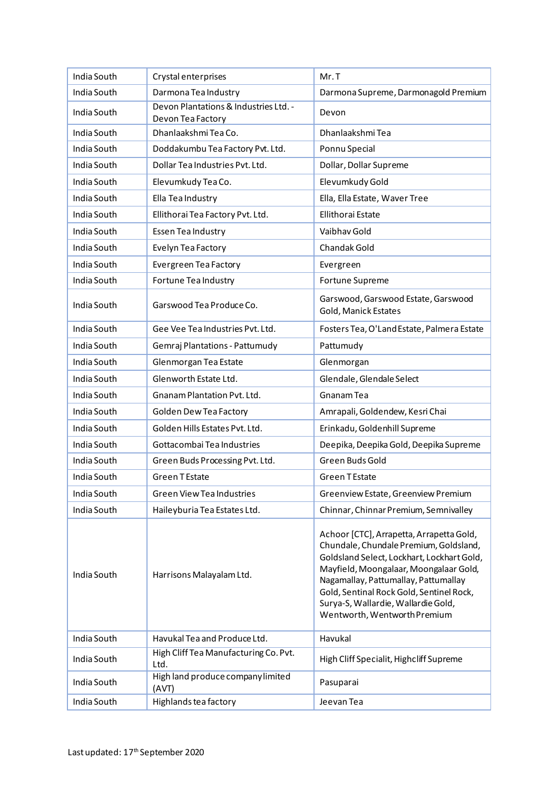| India South | Crystal enterprises                                        | Mr.T                                                                                                                                                                                                                                                                                                                                  |
|-------------|------------------------------------------------------------|---------------------------------------------------------------------------------------------------------------------------------------------------------------------------------------------------------------------------------------------------------------------------------------------------------------------------------------|
| India South | Darmona Tea Industry                                       | Darmona Supreme, Darmonagold Premium                                                                                                                                                                                                                                                                                                  |
| India South | Devon Plantations & Industries Ltd. -<br>Devon Tea Factory | Devon                                                                                                                                                                                                                                                                                                                                 |
| India South | Dhanlaakshmi Tea Co.                                       | Dhanlaakshmi Tea                                                                                                                                                                                                                                                                                                                      |
| India South | Doddakumbu Tea Factory Pvt. Ltd.                           | Ponnu Special                                                                                                                                                                                                                                                                                                                         |
| India South | Dollar Tea Industries Pvt. Ltd.                            | Dollar, Dollar Supreme                                                                                                                                                                                                                                                                                                                |
| India South | Elevumkudy Tea Co.                                         | Elevumkudy Gold                                                                                                                                                                                                                                                                                                                       |
| India South | Ella Tea Industry                                          | Ella, Ella Estate, Waver Tree                                                                                                                                                                                                                                                                                                         |
| India South | Ellithorai Tea Factory Pvt. Ltd.                           | <b>Ellithorai Estate</b>                                                                                                                                                                                                                                                                                                              |
| India South | Essen Tea Industry                                         | Vaibhav Gold                                                                                                                                                                                                                                                                                                                          |
| India South | Evelyn Tea Factory                                         | Chandak Gold                                                                                                                                                                                                                                                                                                                          |
| India South | Evergreen Tea Factory                                      | Evergreen                                                                                                                                                                                                                                                                                                                             |
| India South | Fortune Tea Industry                                       | Fortune Supreme                                                                                                                                                                                                                                                                                                                       |
| India South | Garswood Tea Produce Co.                                   | Garswood, Garswood Estate, Garswood<br>Gold, Manick Estates                                                                                                                                                                                                                                                                           |
| India South | Gee Vee Tea Industries Pvt. Ltd.                           | Fosters Tea, O'Land Estate, Palmera Estate                                                                                                                                                                                                                                                                                            |
| India South | Gemraj Plantations - Pattumudy                             | Pattumudy                                                                                                                                                                                                                                                                                                                             |
| India South | Glenmorgan Tea Estate                                      | Glenmorgan                                                                                                                                                                                                                                                                                                                            |
| India South | Glenworth Estate Ltd.                                      | Glendale, Glendale Select                                                                                                                                                                                                                                                                                                             |
| India South | Gnanam Plantation Pvt. Ltd.                                | Gnanam Tea                                                                                                                                                                                                                                                                                                                            |
| India South | Golden Dew Tea Factory                                     | Amrapali, Goldendew, Kesri Chai                                                                                                                                                                                                                                                                                                       |
| India South | Golden Hills Estates Pvt. Ltd.                             | Erinkadu, Goldenhill Supreme                                                                                                                                                                                                                                                                                                          |
| India South | Gottacombai Tea Industries                                 | Deepika, Deepika Gold, Deepika Supreme                                                                                                                                                                                                                                                                                                |
| India South | Green Buds Processing Pvt. Ltd.                            | Green Buds Gold                                                                                                                                                                                                                                                                                                                       |
| India South | <b>Green T Estate</b>                                      | <b>Green TEstate</b>                                                                                                                                                                                                                                                                                                                  |
| India South | <b>Green View Tea Industries</b>                           | Greenview Estate, Greenview Premium                                                                                                                                                                                                                                                                                                   |
| India South | Haileyburia Tea Estates Ltd.                               | Chinnar, Chinnar Premium, Semnivalley                                                                                                                                                                                                                                                                                                 |
| India South | Harrisons Malayalam Ltd.                                   | Achoor [CTC], Arrapetta, Arrapetta Gold,<br>Chundale, Chundale Premium, Goldsland,<br>Goldsland Select, Lockhart, Lockhart Gold,<br>Mayfield, Moongalaar, Moongalaar Gold,<br>Nagamallay, Pattumallay, Pattumallay<br>Gold, Sentinal Rock Gold, Sentinel Rock,<br>Surya-S, Wallardie, Wallardie Gold,<br>Wentworth, Wentworth Premium |
| India South | Havukal Tea and Produce Ltd.                               | Havukal                                                                                                                                                                                                                                                                                                                               |
| India South | High Cliff Tea Manufacturing Co. Pvt.<br>Ltd.              | High Cliff Specialit, Highcliff Supreme                                                                                                                                                                                                                                                                                               |
| India South | High land produce company limited<br>(AVT)                 | Pasuparai                                                                                                                                                                                                                                                                                                                             |
| India South | Highlands tea factory                                      | Jeevan Tea                                                                                                                                                                                                                                                                                                                            |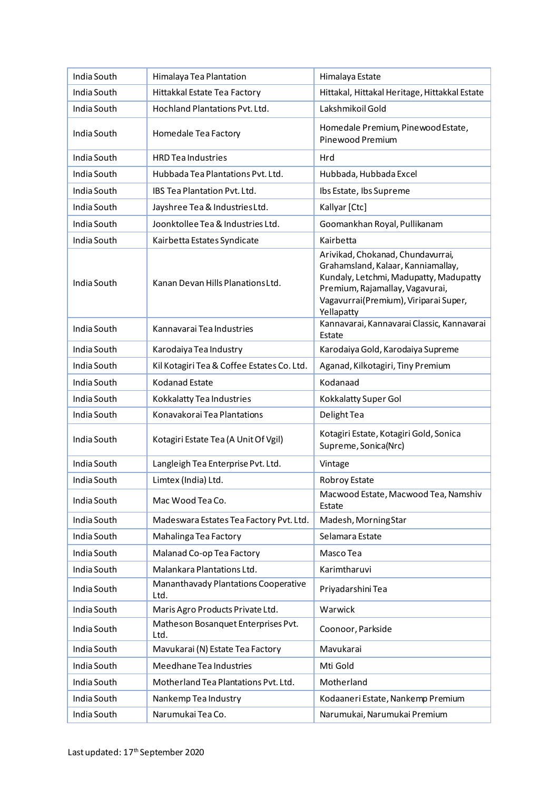| India South | Himalaya Tea Plantation                      | Himalaya Estate                                                                                                                                                                                             |
|-------------|----------------------------------------------|-------------------------------------------------------------------------------------------------------------------------------------------------------------------------------------------------------------|
| India South | Hittakkal Estate Tea Factory                 | Hittakal, Hittakal Heritage, Hittakkal Estate                                                                                                                                                               |
| India South | Hochland Plantations Pvt. Ltd.               | Lakshmikoil Gold                                                                                                                                                                                            |
| India South | Homedale Tea Factory                         | Homedale Premium, Pinewood Estate,<br>Pinewood Premium                                                                                                                                                      |
| India South | <b>HRD Tea Industries</b>                    | Hrd                                                                                                                                                                                                         |
| India South | Hubbada Tea Plantations Pyt. Ltd.            | Hubbada, Hubbada Excel                                                                                                                                                                                      |
| India South | IBS Tea Plantation Pvt. Ltd.                 | Ibs Estate, Ibs Supreme                                                                                                                                                                                     |
| India South | Jayshree Tea & Industries Ltd.               | Kallyar [Ctc]                                                                                                                                                                                               |
| India South | Joonktollee Tea & Industries Ltd.            | Goomankhan Royal, Pullikanam                                                                                                                                                                                |
| India South | Kairbetta Estates Syndicate                  | Kairbetta                                                                                                                                                                                                   |
| India South | Kanan Devan Hills Planations Ltd.            | Arivikad, Chokanad, Chundavurrai,<br>Grahamsland, Kalaar, Kanniamallay,<br>Kundaly, Letchmi, Madupatty, Madupatty<br>Premium, Rajamallay, Vagavurai,<br>Vagavurrai(Premium), Viriparai Super,<br>Yellapatty |
| India South | Kannavarai Tea Industries                    | Kannavarai, Kannavarai Classic, Kannavarai<br>Estate                                                                                                                                                        |
| India South | Karodaiya Tea Industry                       | Karodaiya Gold, Karodaiya Supreme                                                                                                                                                                           |
| India South | Kil Kotagiri Tea & Coffee Estates Co. Ltd.   | Aganad, Kilkotagiri, Tiny Premium                                                                                                                                                                           |
| India South | <b>Kodanad Estate</b>                        | Kodanaad                                                                                                                                                                                                    |
| India South | Kokkalatty Tea Industries                    | Kokkalatty Super Gol                                                                                                                                                                                        |
| India South | Konavakorai Tea Plantations                  | Delight Tea                                                                                                                                                                                                 |
| India South | Kotagiri Estate Tea (A Unit Of Vgil)         | Kotagiri Estate, Kotagiri Gold, Sonica<br>Supreme, Sonica(Nrc)                                                                                                                                              |
| India South | Langleigh Tea Enterprise Pvt. Ltd.           | Vintage                                                                                                                                                                                                     |
| India South | Limtex (India) Ltd.                          | Robroy Estate                                                                                                                                                                                               |
| India South | Mac Wood Tea Co.                             | Macwood Estate, Macwood Tea, Namshiv<br>Estate                                                                                                                                                              |
| India South | Madeswara Estates Tea Factory Pvt. Ltd.      | Madesh, MorningStar                                                                                                                                                                                         |
| India South | Mahalinga Tea Factory                        | Selamara Estate                                                                                                                                                                                             |
| India South | Malanad Co-op Tea Factory                    | Masco Tea                                                                                                                                                                                                   |
| India South | Malankara Plantations Ltd.                   | Karimtharuvi                                                                                                                                                                                                |
| India South | Mananthavady Plantations Cooperative<br>Ltd. | Priyadarshini Tea                                                                                                                                                                                           |
| India South | Maris Agro Products Private Ltd.             | Warwick                                                                                                                                                                                                     |
| India South | Matheson Bosanquet Enterprises Pvt.<br>Ltd.  | Coonoor, Parkside                                                                                                                                                                                           |
| India South | Mavukarai (N) Estate Tea Factory             | Mavukarai                                                                                                                                                                                                   |
| India South | Meedhane Tea Industries                      | Mti Gold                                                                                                                                                                                                    |
| India South | Motherland Tea Plantations Pvt. Ltd.         | Motherland                                                                                                                                                                                                  |
| India South | Nankemp Tea Industry                         | Kodaaneri Estate, Nankemp Premium                                                                                                                                                                           |
| India South | Narumukai Tea Co.                            | Narumukai, Narumukai Premium                                                                                                                                                                                |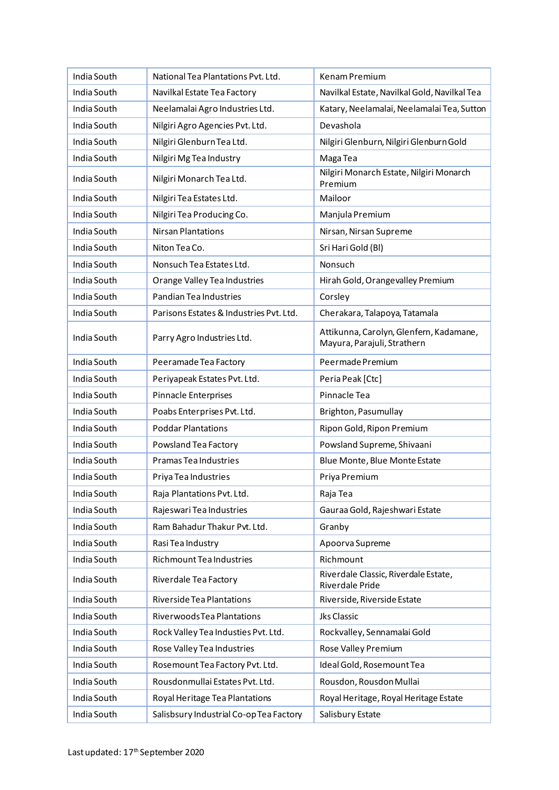| India South | National Tea Plantations Pvt. Ltd.      | Kenam Premium                                                          |
|-------------|-----------------------------------------|------------------------------------------------------------------------|
| India South | Navilkal Estate Tea Factory             | Navilkal Estate, Navilkal Gold, Navilkal Tea                           |
| India South | Neelamalai Agro Industries Ltd.         | Katary, Neelamalai, Neelamalai Tea, Sutton                             |
| India South | Nilgiri Agro Agencies Pvt. Ltd.         | Devashola                                                              |
| India South | Nilgiri Glenburn Tea Ltd.               | Nilgiri Glenburn, Nilgiri Glenburn Gold                                |
| India South | Nilgiri Mg Tea Industry                 | Maga Tea                                                               |
| India South | Nilgiri Monarch Tea Ltd.                | Nilgiri Monarch Estate, Nilgiri Monarch<br>Premium                     |
| India South | Nilgiri Tea Estates Ltd.                | Mailoor                                                                |
| India South | Nilgiri Tea Producing Co.               | Manjula Premium                                                        |
| India South | <b>Nirsan Plantations</b>               | Nirsan, Nirsan Supreme                                                 |
| India South | Niton Tea Co.                           | Sri Hari Gold (Bl)                                                     |
| India South | Nonsuch Tea Estates Ltd.                | Nonsuch                                                                |
| India South | Orange Valley Tea Industries            | Hirah Gold, Orangevalley Premium                                       |
| India South | Pandian Tea Industries                  | Corsley                                                                |
| India South | Parisons Estates & Industries Pvt. Ltd. | Cherakara, Talapoya, Tatamala                                          |
| India South | Parry Agro Industries Ltd.              | Attikunna, Carolyn, Glenfern, Kadamane,<br>Mayura, Parajuli, Strathern |
| India South | Peeramade Tea Factory                   | Peermade Premium                                                       |
| India South | Periyapeak Estates Pvt. Ltd.            | Peria Peak [Ctc]                                                       |
| India South | Pinnacle Enterprises                    | Pinnacle Tea                                                           |
| India South | Poabs Enterprises Pvt. Ltd.             | Brighton, Pasumullay                                                   |
| India South | <b>Poddar Plantations</b>               | Ripon Gold, Ripon Premium                                              |
| India South | Powsland Tea Factory                    | Powsland Supreme, Shivaani                                             |
| India South | Pramas Tea Industries                   | Blue Monte, Blue Monte Estate                                          |
| India South | Priya Tea Industries                    | Priya Premium                                                          |
| India South | Raja Plantations Pvt. Ltd.              | Raja Tea                                                               |
| India South | Rajeswari Tea Industries                | Gauraa Gold, Rajeshwari Estate                                         |
| India South | Ram Bahadur Thakur Pvt. Ltd.            | Granby                                                                 |
| India South | Rasi Tea Industry                       | Apoorva Supreme                                                        |
| India South | Richmount Tea Industries                | Richmount                                                              |
| India South | Riverdale Tea Factory                   | Riverdale Classic, Riverdale Estate,<br>Riverdale Pride                |
| India South | Riverside Tea Plantations               | Riverside, Riverside Estate                                            |
| India South | Riverwoods Tea Plantations              | <b>Jks Classic</b>                                                     |
| India South | Rock Valley Tea Industies Pvt. Ltd.     | Rockvalley, Sennamalai Gold                                            |
| India South | Rose Valley Tea Industries              | Rose Valley Premium                                                    |
| India South | Rosemount Tea Factory Pvt. Ltd.         | Ideal Gold, Rosemount Tea                                              |
| India South | Rousdonmullai Estates Pvt. Ltd.         | Rousdon, Rousdon Mullai                                                |
| India South | Royal Heritage Tea Plantations          | Royal Heritage, Royal Heritage Estate                                  |
| India South | Salisbsury Industrial Co-op Tea Factory | Salisbury Estate                                                       |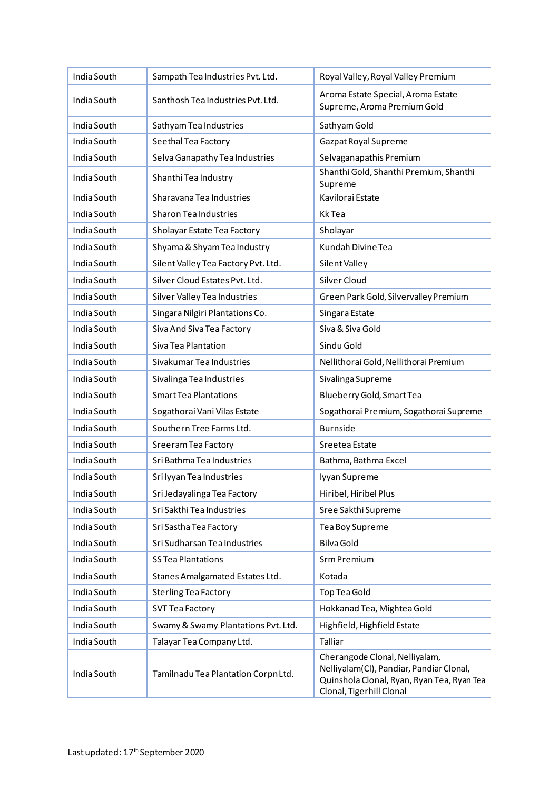| India South | Sampath Tea Industries Pvt. Ltd.    | Royal Valley, Royal Valley Premium                                                                                                                   |
|-------------|-------------------------------------|------------------------------------------------------------------------------------------------------------------------------------------------------|
| India South | Santhosh Tea Industries Pvt. Ltd.   | Aroma Estate Special, Aroma Estate<br>Supreme, Aroma Premium Gold                                                                                    |
| India South | Sathyam Tea Industries              | Sathyam Gold                                                                                                                                         |
| India South | Seethal Tea Factory                 | Gazpat Royal Supreme                                                                                                                                 |
| India South | Selva Ganapathy Tea Industries      | Selvaganapathis Premium                                                                                                                              |
| India South | Shanthi Tea Industry                | Shanthi Gold, Shanthi Premium, Shanthi<br>Supreme                                                                                                    |
| India South | Sharavana Tea Industries            | Kavilorai Estate                                                                                                                                     |
| India South | <b>Sharon Tea Industries</b>        | <b>KkTea</b>                                                                                                                                         |
| India South | Sholayar Estate Tea Factory         | Sholayar                                                                                                                                             |
| India South | Shyama & Shyam Tea Industry         | Kundah Divine Tea                                                                                                                                    |
| India South | Silent Valley Tea Factory Pvt. Ltd. | Silent Valley                                                                                                                                        |
| India South | Silver Cloud Estates Pvt. Ltd.      | <b>Silver Cloud</b>                                                                                                                                  |
| India South | Silver Valley Tea Industries        | Green Park Gold, Silvervalley Premium                                                                                                                |
| India South | Singara Nilgiri Plantations Co.     | Singara Estate                                                                                                                                       |
| India South | Siva And Siva Tea Factory           | Siva & Siva Gold                                                                                                                                     |
| India South | Siva Tea Plantation                 | Sindu Gold                                                                                                                                           |
| India South | Sivakumar Tea Industries            | Nellithorai Gold, Nellithorai Premium                                                                                                                |
| India South | Sivalinga Tea Industries            | Sivalinga Supreme                                                                                                                                    |
| India South | <b>Smart Tea Plantations</b>        | Blueberry Gold, Smart Tea                                                                                                                            |
| India South | Sogathorai Vani Vilas Estate        | Sogathorai Premium, Sogathorai Supreme                                                                                                               |
| India South | Southern Tree Farms Ltd.            | <b>Burnside</b>                                                                                                                                      |
| India South | Sreeram Tea Factory                 | Sreetea Estate                                                                                                                                       |
| India South | Sri Bathma Tea Industries           | Bathma, Bathma Excel                                                                                                                                 |
| India South | Sri Iyyan Tea Industries            | lyyan Supreme                                                                                                                                        |
| India South | Sri Jedayalinga Tea Factory         | Hiribel, Hiribel Plus                                                                                                                                |
| India South | Sri Sakthi Tea Industries           | Sree Sakthi Supreme                                                                                                                                  |
| India South | Sri Sastha Tea Factory              | Tea Boy Supreme                                                                                                                                      |
| India South | Sri Sudharsan Tea Industries        | <b>Bilva Gold</b>                                                                                                                                    |
| India South | <b>SS Tea Plantations</b>           | Srm Premium                                                                                                                                          |
| India South | Stanes Amalgamated Estates Ltd.     | Kotada                                                                                                                                               |
| India South | <b>Sterling Tea Factory</b>         | <b>Top Tea Gold</b>                                                                                                                                  |
| India South | <b>SVT Tea Factory</b>              | Hokkanad Tea, Mightea Gold                                                                                                                           |
| India South | Swamy & Swamy Plantations Pvt. Ltd. | Highfield, Highfield Estate                                                                                                                          |
| India South | Talayar Tea Company Ltd.            | Talliar                                                                                                                                              |
| India South | Tamilnadu Tea Plantation Corpn Ltd. | Cherangode Clonal, Nelliyalam,<br>Nelliyalam(Cl), Pandiar, Pandiar Clonal,<br>Quinshola Clonal, Ryan, Ryan Tea, Ryan Tea<br>Clonal, Tigerhill Clonal |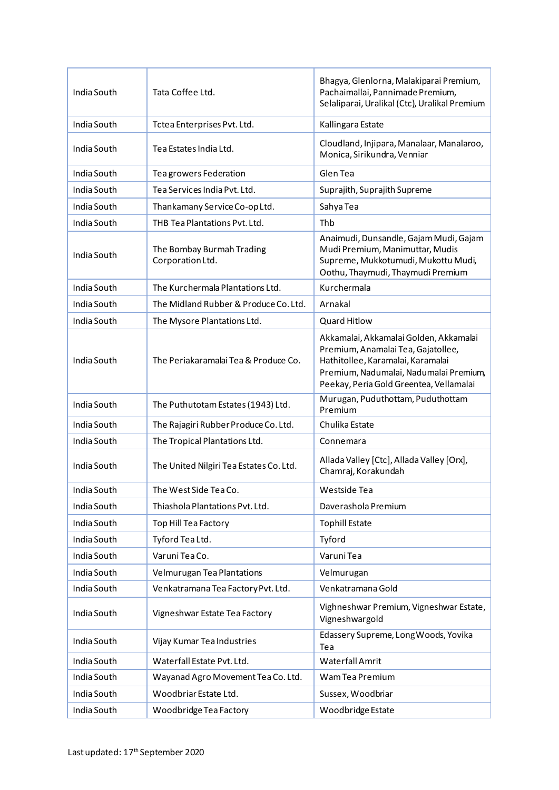| India South | Tata Coffee Ltd.                              | Bhagya, Glenlorna, Malakiparai Premium,<br>Pachaimallai, Pannimade Premium,<br>Selaliparai, Uralikal (Ctc), Uralikal Premium                                                                           |
|-------------|-----------------------------------------------|--------------------------------------------------------------------------------------------------------------------------------------------------------------------------------------------------------|
| India South | Tctea Enterprises Pvt. Ltd.                   | Kallingara Estate                                                                                                                                                                                      |
| India South | Tea Estates India Ltd.                        | Cloudland, Injipara, Manalaar, Manalaroo,<br>Monica, Sirikundra, Venniar                                                                                                                               |
| India South | Tea growers Federation                        | Glen Tea                                                                                                                                                                                               |
| India South | Tea Services India Pvt. Ltd.                  | Suprajith, Suprajith Supreme                                                                                                                                                                           |
| India South | Thankamany Service Co-op Ltd.                 | Sahya Tea                                                                                                                                                                                              |
| India South | THB Tea Plantations Pvt. Ltd.                 | Thb                                                                                                                                                                                                    |
| India South | The Bombay Burmah Trading<br>Corporation Ltd. | Anaimudi, Dunsandle, Gajam Mudi, Gajam<br>Mudi Premium, Manimuttar, Mudis<br>Supreme, Mukkotumudi, Mukottu Mudi,<br>Oothu, Thaymudi, Thaymudi Premium                                                  |
| India South | The Kurchermala Plantations Ltd.              | Kurchermala                                                                                                                                                                                            |
| India South | The Midland Rubber & Produce Co. Ltd.         | Arnakal                                                                                                                                                                                                |
| India South | The Mysore Plantations Ltd.                   | <b>Quard Hitlow</b>                                                                                                                                                                                    |
| India South | The Periakaramalai Tea & Produce Co.          | Akkamalai, Akkamalai Golden, Akkamalai<br>Premium, Anamalai Tea, Gajatollee,<br>Hathitollee, Karamalai, Karamalai<br>Premium, Nadumalai, Nadumalai Premium,<br>Peekay, Peria Gold Greentea, Vellamalai |
| India South | The Puthutotam Estates (1943) Ltd.            | Murugan, Puduthottam, Puduthottam<br>Premium                                                                                                                                                           |
| India South | The Rajagiri Rubber Produce Co. Ltd.          | Chulika Estate                                                                                                                                                                                         |
| India South | The Tropical Plantations Ltd.                 | Connemara                                                                                                                                                                                              |
| India South | The United Nilgiri Tea Estates Co. Ltd.       | Allada Valley [Ctc], Allada Valley [Orx],<br>Chamraj, Korakundah                                                                                                                                       |
| India South | The West Side Tea Co.                         | Westside Tea                                                                                                                                                                                           |
| India South | Thiashola Plantations Pvt. Ltd.               | Daverashola Premium                                                                                                                                                                                    |
| India South | Top Hill Tea Factory                          | <b>Tophill Estate</b>                                                                                                                                                                                  |
| India South | Tyford Tea Ltd.                               | Tyford                                                                                                                                                                                                 |
| India South | Varuni Tea Co.                                | Varuni Tea                                                                                                                                                                                             |
| India South | Velmurugan Tea Plantations                    | Velmurugan                                                                                                                                                                                             |
| India South | Venkatramana Tea Factory Pvt. Ltd.            | Venkatramana Gold                                                                                                                                                                                      |
| India South | Vigneshwar Estate Tea Factory                 | Vighneshwar Premium, Vigneshwar Estate,<br>Vigneshwargold                                                                                                                                              |
| India South | Vijay Kumar Tea Industries                    | Edassery Supreme, Long Woods, Yovika<br>Tea                                                                                                                                                            |
| India South | Waterfall Estate Pvt. Ltd.                    | <b>Waterfall Amrit</b>                                                                                                                                                                                 |
| India South | Wayanad Agro Movement Tea Co. Ltd.            | Wam Tea Premium                                                                                                                                                                                        |
| India South | Woodbriar Estate Ltd.                         | Sussex, Woodbriar                                                                                                                                                                                      |
| India South | Woodbridge Tea Factory                        | Woodbridge Estate                                                                                                                                                                                      |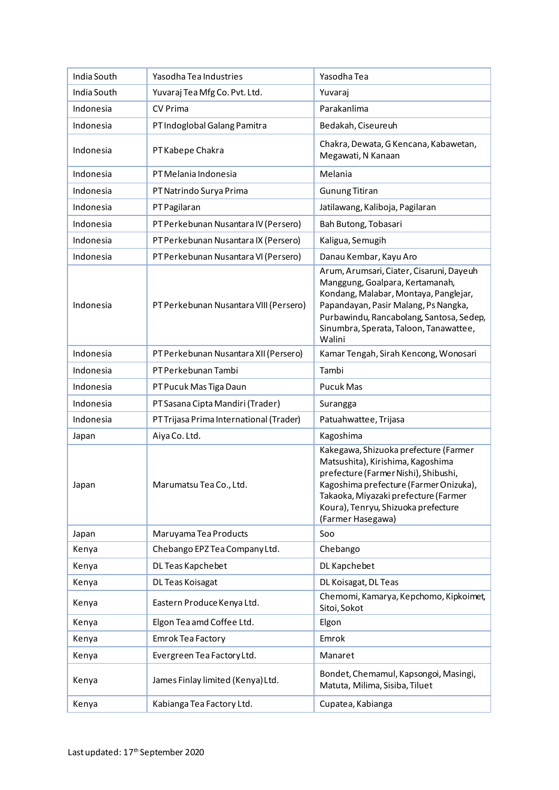| India South | Yasodha Tea Industries                  | Yasodha Tea                                                                                                                                                                                                                                                      |
|-------------|-----------------------------------------|------------------------------------------------------------------------------------------------------------------------------------------------------------------------------------------------------------------------------------------------------------------|
| India South | Yuvaraj Tea Mfg Co. Pvt. Ltd.           | Yuvaraj                                                                                                                                                                                                                                                          |
| Indonesia   | <b>CV Prima</b>                         | Parakanlima                                                                                                                                                                                                                                                      |
| Indonesia   | PT Indoglobal Galang Pamitra            | Bedakah, Ciseureuh                                                                                                                                                                                                                                               |
| Indonesia   | PT Kabepe Chakra                        | Chakra, Dewata, G Kencana, Kabawetan,<br>Megawati, N Kanaan                                                                                                                                                                                                      |
| Indonesia   | PT Melania Indonesia                    | Melania                                                                                                                                                                                                                                                          |
| Indonesia   | PT Natrindo Surya Prima                 | <b>Gunung Titiran</b>                                                                                                                                                                                                                                            |
| Indonesia   | PT Pagilaran                            | Jatilawang, Kaliboja, Pagilaran                                                                                                                                                                                                                                  |
| Indonesia   | PT Perkebunan Nusantara IV (Persero)    | Bah Butong, Tobasari                                                                                                                                                                                                                                             |
| Indonesia   | PT Perkebunan Nusantara IX (Persero)    | Kaligua, Semugih                                                                                                                                                                                                                                                 |
| Indonesia   | PT Perkebunan Nusantara VI (Persero)    | Danau Kembar, Kayu Aro                                                                                                                                                                                                                                           |
| Indonesia   | PT Perkebunan Nusantara VIII (Persero)  | Arum, Arumsari, Ciater, Cisaruni, Dayeuh<br>Manggung, Goalpara, Kertamanah,<br>Kondang, Malabar, Montaya, Panglejar,<br>Papandayan, Pasir Malang, Ps Nangka,<br>Purbawindu, Rancabolang, Santosa, Sedep,<br>Sinumbra, Sperata, Taloon, Tanawattee,<br>Walini     |
| Indonesia   | PT Perkebunan Nusantara XII (Persero)   | Kamar Tengah, Sirah Kencong, Wonosari                                                                                                                                                                                                                            |
| Indonesia   | PT Perkebunan Tambi                     | Tambi                                                                                                                                                                                                                                                            |
| Indonesia   | PT Pucuk Mas Tiga Daun                  | <b>Pucuk Mas</b>                                                                                                                                                                                                                                                 |
| Indonesia   | PT Sasana Cipta Mandiri (Trader)        | Surangga                                                                                                                                                                                                                                                         |
| Indonesia   | PT Trijasa Prima International (Trader) | Patuahwattee, Trijasa                                                                                                                                                                                                                                            |
| Japan       | Aiya Co. Ltd.                           | Kagoshima                                                                                                                                                                                                                                                        |
| Japan       | Marumatsu Tea Co., Ltd.                 | Kakegawa, Shizuoka prefecture (Farmer<br>Matsushita), Kirishima, Kagoshima<br>prefecture (Farmer Nishi), Shibushi,<br>Kagoshima prefecture (Farmer Onizuka),<br>Takaoka, Miyazaki prefecture (Farmer<br>Koura), Tenryu, Shizuoka prefecture<br>(Farmer Hasegawa) |
| Japan       | Maruyama Tea Products                   | Soo                                                                                                                                                                                                                                                              |
| Kenya       | Chebango EPZ Tea Company Ltd.           | Chebango                                                                                                                                                                                                                                                         |
| Kenya       | DL Teas Kapchebet                       | DL Kapchebet                                                                                                                                                                                                                                                     |
| Kenya       | DL Teas Koisagat                        | DL Koisagat, DL Teas                                                                                                                                                                                                                                             |
| Kenya       | Eastern Produce Kenya Ltd.              | Chemomi, Kamarya, Kepchomo, Kipkoimet,<br>Sitoi, Sokot                                                                                                                                                                                                           |
| Kenya       | Elgon Tea amd Coffee Ltd.               | Elgon                                                                                                                                                                                                                                                            |
| Kenya       | Emrok Tea Factory                       | Emrok                                                                                                                                                                                                                                                            |
| Kenya       | Evergreen Tea Factory Ltd.              | Manaret                                                                                                                                                                                                                                                          |
| Kenya       | James Finlay limited (Kenya) Ltd.       | Bondet, Chemamul, Kapsongoi, Masingi,<br>Matuta, Milima, Sisiba, Tiluet                                                                                                                                                                                          |
| Kenya       | Kabianga Tea Factory Ltd.               | Cupatea, Kabianga                                                                                                                                                                                                                                                |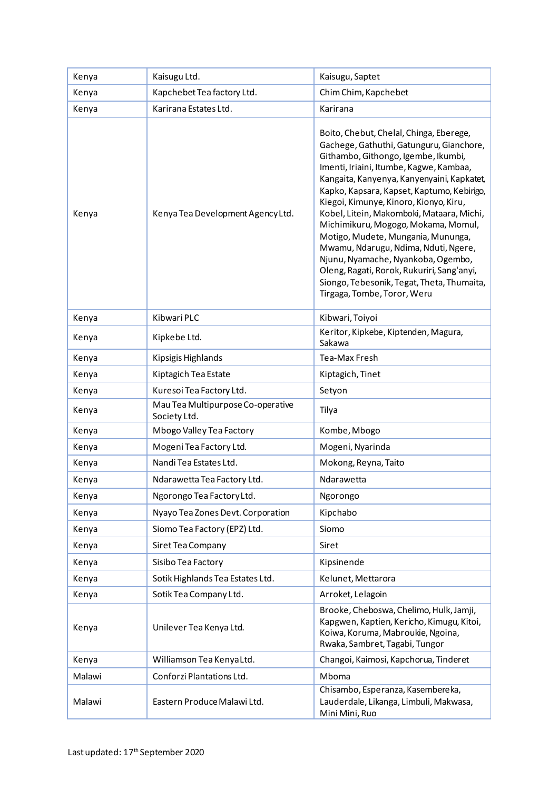| Kenya  | Kaisugu Ltd.                                      | Kaisugu, Saptet                                                                                                                                                                                                                                                                                                                                                                                                                                                                                                                                                                                                                                |
|--------|---------------------------------------------------|------------------------------------------------------------------------------------------------------------------------------------------------------------------------------------------------------------------------------------------------------------------------------------------------------------------------------------------------------------------------------------------------------------------------------------------------------------------------------------------------------------------------------------------------------------------------------------------------------------------------------------------------|
| Kenya  | Kapchebet Tea factory Ltd.                        | Chim Chim, Kapchebet                                                                                                                                                                                                                                                                                                                                                                                                                                                                                                                                                                                                                           |
| Kenya  | Karirana Estates Ltd.                             | Karirana                                                                                                                                                                                                                                                                                                                                                                                                                                                                                                                                                                                                                                       |
| Kenya  | Kenya Tea Development Agency Ltd.                 | Boito, Chebut, Chelal, Chinga, Eberege,<br>Gachege, Gathuthi, Gatunguru, Gianchore,<br>Githambo, Githongo, Igembe, Ikumbi,<br>Imenti, Iriaini, Itumbe, Kagwe, Kambaa,<br>Kangaita, Kanyenya, Kanyenyaini, Kapkatet,<br>Kapko, Kapsara, Kapset, Kaptumo, Kebirigo,<br>Kiegoi, Kimunye, Kinoro, Kionyo, Kiru,<br>Kobel, Litein, Makomboki, Mataara, Michi,<br>Michimikuru, Mogogo, Mokama, Momul,<br>Motigo, Mudete, Mungania, Mununga,<br>Mwamu, Ndarugu, Ndima, Nduti, Ngere,<br>Njunu, Nyamache, Nyankoba, Ogembo,<br>Oleng, Ragati, Rorok, Rukuriri, Sang'anyi,<br>Siongo, Tebesonik, Tegat, Theta, Thumaita,<br>Tirgaga, Tombe, Toror, Weru |
| Kenya  | Kibwari PLC                                       | Kibwari, Toiyoi                                                                                                                                                                                                                                                                                                                                                                                                                                                                                                                                                                                                                                |
| Kenya  | Kipkebe Ltd.                                      | Keritor, Kipkebe, Kiptenden, Magura,<br>Sakawa                                                                                                                                                                                                                                                                                                                                                                                                                                                                                                                                                                                                 |
| Kenya  | Kipsigis Highlands                                | Tea-Max Fresh                                                                                                                                                                                                                                                                                                                                                                                                                                                                                                                                                                                                                                  |
| Kenya  | Kiptagich Tea Estate                              | Kiptagich, Tinet                                                                                                                                                                                                                                                                                                                                                                                                                                                                                                                                                                                                                               |
| Kenya  | Kuresoi Tea Factory Ltd.                          | Setyon                                                                                                                                                                                                                                                                                                                                                                                                                                                                                                                                                                                                                                         |
| Kenya  | Mau Tea Multipurpose Co-operative<br>Society Ltd. | Tilya                                                                                                                                                                                                                                                                                                                                                                                                                                                                                                                                                                                                                                          |
| Kenya  | Mbogo Valley Tea Factory                          | Kombe, Mbogo                                                                                                                                                                                                                                                                                                                                                                                                                                                                                                                                                                                                                                   |
| Kenya  | Mogeni Tea Factory Ltd.                           | Mogeni, Nyarinda                                                                                                                                                                                                                                                                                                                                                                                                                                                                                                                                                                                                                               |
| Kenya  | Nandi Tea Estates Ltd.                            | Mokong, Reyna, Taito                                                                                                                                                                                                                                                                                                                                                                                                                                                                                                                                                                                                                           |
| Kenya  | Ndarawetta Tea Factory Ltd.                       | Ndarawetta                                                                                                                                                                                                                                                                                                                                                                                                                                                                                                                                                                                                                                     |
| Kenya  | Ngorongo Tea Factory Ltd.                         | Ngorongo                                                                                                                                                                                                                                                                                                                                                                                                                                                                                                                                                                                                                                       |
| Kenya  | Nyayo Tea Zones Devt. Corporation                 | Kipchabo                                                                                                                                                                                                                                                                                                                                                                                                                                                                                                                                                                                                                                       |
| Kenya  | Siomo Tea Factory (EPZ) Ltd.                      | Siomo                                                                                                                                                                                                                                                                                                                                                                                                                                                                                                                                                                                                                                          |
| Kenya  | Siret Tea Company                                 | Siret                                                                                                                                                                                                                                                                                                                                                                                                                                                                                                                                                                                                                                          |
| Kenya  | Sisibo Tea Factory                                | Kipsinende                                                                                                                                                                                                                                                                                                                                                                                                                                                                                                                                                                                                                                     |
| Kenya  | Sotik Highlands Tea Estates Ltd.                  | Kelunet, Mettarora                                                                                                                                                                                                                                                                                                                                                                                                                                                                                                                                                                                                                             |
| Kenya  | Sotik Tea Company Ltd.                            | Arroket, Lelagoin                                                                                                                                                                                                                                                                                                                                                                                                                                                                                                                                                                                                                              |
| Kenya  | Unilever Tea Kenya Ltd.                           | Brooke, Cheboswa, Chelimo, Hulk, Jamji,<br>Kapgwen, Kaptien, Kericho, Kimugu, Kitoi,<br>Koiwa, Koruma, Mabroukie, Ngoina,<br>Rwaka, Sambret, Tagabi, Tungor                                                                                                                                                                                                                                                                                                                                                                                                                                                                                    |
| Kenya  | Williamson Tea KenyaLtd.                          | Changoi, Kaimosi, Kapchorua, Tinderet                                                                                                                                                                                                                                                                                                                                                                                                                                                                                                                                                                                                          |
| Malawi | Conforzi Plantations Ltd.                         | Mboma                                                                                                                                                                                                                                                                                                                                                                                                                                                                                                                                                                                                                                          |
| Malawi | Eastern Produce Malawi Ltd.                       | Chisambo, Esperanza, Kasembereka,<br>Lauderdale, Likanga, Limbuli, Makwasa,<br>Mini Mini, Ruo                                                                                                                                                                                                                                                                                                                                                                                                                                                                                                                                                  |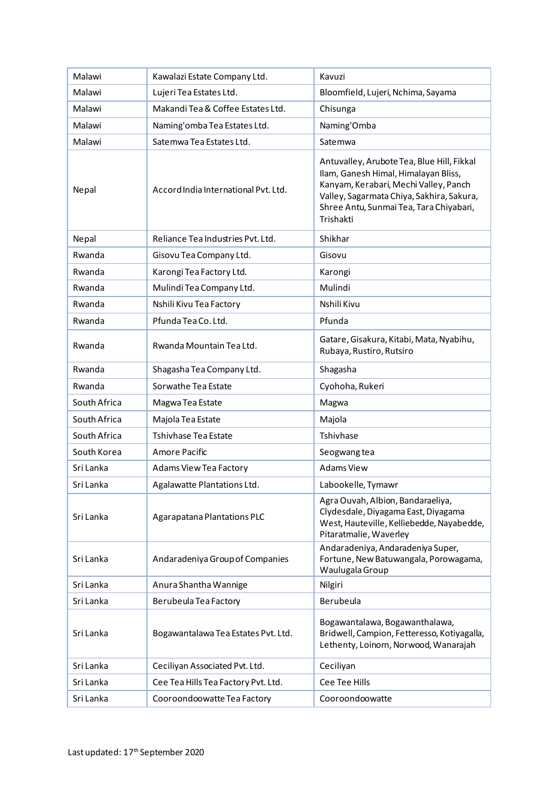| Malawi       | Kawalazi Estate Company Ltd.         | Kavuzi                                                                                                                                                                                                                           |
|--------------|--------------------------------------|----------------------------------------------------------------------------------------------------------------------------------------------------------------------------------------------------------------------------------|
| Malawi       | Lujeri Tea Estates Ltd.              | Bloomfield, Lujeri, Nchima, Sayama                                                                                                                                                                                               |
| Malawi       | Makandi Tea & Coffee Estates Ltd.    | Chisunga                                                                                                                                                                                                                         |
| Malawi       | Naming'omba Tea Estates Ltd.         | Naming'Omba                                                                                                                                                                                                                      |
| Malawi       | Satemwa Tea Estates Ltd.             | Satemwa                                                                                                                                                                                                                          |
| Nepal        | Accord India International Pvt. Ltd. | Antuvalley, Arubote Tea, Blue Hill, Fikkal<br>Ilam, Ganesh Himal, Himalayan Bliss,<br>Kanyam, Kerabari, Mechi Valley, Panch<br>Valley, Sagarmata Chiya, Sakhira, Sakura,<br>Shree Antu, Sunmai Tea, Tara Chiyabari,<br>Trishakti |
| Nepal        | Reliance Tea Industries Pvt. Ltd.    | Shikhar                                                                                                                                                                                                                          |
| Rwanda       | Gisovu Tea Company Ltd.              | Gisovu                                                                                                                                                                                                                           |
| Rwanda       | Karongi Tea Factory Ltd.             | Karongi                                                                                                                                                                                                                          |
| Rwanda       | Mulindi Tea Company Ltd.             | Mulindi                                                                                                                                                                                                                          |
| Rwanda       | Nshili Kivu Tea Factory              | Nshili Kivu                                                                                                                                                                                                                      |
| Rwanda       | Pfunda Tea Co. Ltd.                  | Pfunda                                                                                                                                                                                                                           |
| Rwanda       | Rwanda Mountain Tea Ltd.             | Gatare, Gisakura, Kitabi, Mata, Nyabihu,<br>Rubaya, Rustiro, Rutsiro                                                                                                                                                             |
| Rwanda       | Shagasha Tea Company Ltd.            | Shagasha                                                                                                                                                                                                                         |
| Rwanda       | Sorwathe Tea Estate                  | Cyohoha, Rukeri                                                                                                                                                                                                                  |
| South Africa | Magwa Tea Estate                     | Magwa                                                                                                                                                                                                                            |
| South Africa | Majola Tea Estate                    | Majola                                                                                                                                                                                                                           |
| South Africa | Tshivhase Tea Estate                 | Tshivhase                                                                                                                                                                                                                        |
| South Korea  | Amore Pacific                        | Seogwang tea                                                                                                                                                                                                                     |
| Sri Lanka    | Adams View Tea Factory               | <b>Adams View</b>                                                                                                                                                                                                                |
| Sri Lanka    | Agalawatte Plantations Ltd.          | Labookelle, Tymawr                                                                                                                                                                                                               |
| Sri Lanka    | Agarapatana Plantations PLC          | Agra Ouvah, Albion, Bandaraeliya,<br>Clydesdale, Diyagama East, Diyagama<br>West, Hauteville, Kelliebedde, Nayabedde,<br>Pitaratmalie, Waverley                                                                                  |
| Sri Lanka    | Andaradeniya Group of Companies      | Andaradeniya, Andaradeniya Super,<br>Fortune, New Batuwangala, Porowagama,<br>Waulugala Group                                                                                                                                    |
| Sri Lanka    | Anura Shantha Wannige                | Nilgiri                                                                                                                                                                                                                          |
| Sri Lanka    | Berubeula Tea Factory                | Berubeula                                                                                                                                                                                                                        |
| Sri Lanka    | Bogawantalawa Tea Estates Pvt. Ltd.  | Bogawantalawa, Bogawanthalawa,<br>Bridwell, Campion, Fetteresso, Kotiyagalla,<br>Lethenty, Loinorn, Norwood, Wanarajah                                                                                                           |
| Sri Lanka    | Ceciliyan Associated Pvt. Ltd.       | Ceciliyan                                                                                                                                                                                                                        |
| Sri Lanka    | Cee Tea Hills Tea Factory Pvt. Ltd.  | Cee Tee Hills                                                                                                                                                                                                                    |
| Sri Lanka    | Cooroondoowatte Tea Factory          | Cooroondoowatte                                                                                                                                                                                                                  |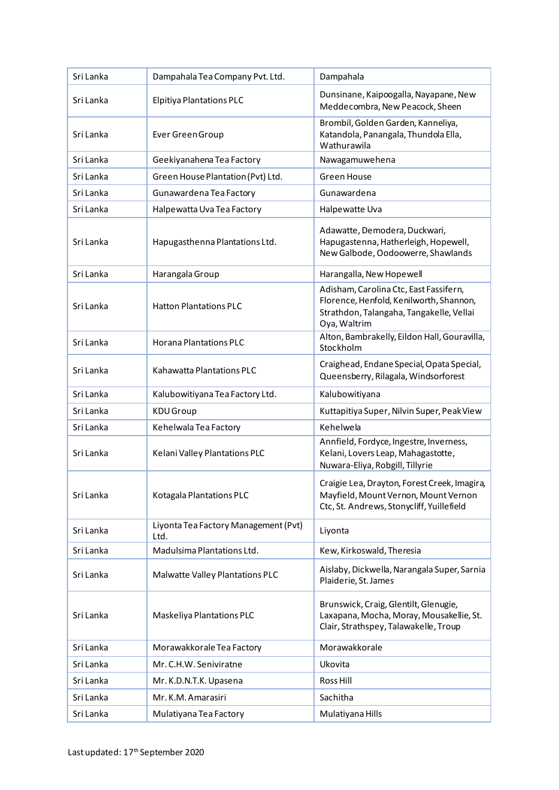| Sri Lanka | Dampahala Tea Company Pvt. Ltd.              | Dampahala                                                                                                                                     |
|-----------|----------------------------------------------|-----------------------------------------------------------------------------------------------------------------------------------------------|
| Sri Lanka | Elpitiya Plantations PLC                     | Dunsinane, Kaipoogalla, Nayapane, New<br>Meddecombra, New Peacock, Sheen                                                                      |
| Sri Lanka | Ever Green Group                             | Brombil, Golden Garden, Kanneliya,<br>Katandola, Panangala, Thundola Ella,<br>Wathurawila                                                     |
| Sri Lanka | Geekiyanahena Tea Factory                    | Nawagamuwehena                                                                                                                                |
| Sri Lanka | Green House Plantation (Pvt) Ltd.            | <b>Green House</b>                                                                                                                            |
| Sri Lanka | Gunawardena Tea Factory                      | Gunawardena                                                                                                                                   |
| Sri Lanka | Halpewatta Uva Tea Factory                   | Halpewatte Uva                                                                                                                                |
| Sri Lanka | Hapugasthenna Plantations Ltd.               | Adawatte, Demodera, Duckwari,<br>Hapugastenna, Hatherleigh, Hopewell,<br>New Galbode, Oodoowerre, Shawlands                                   |
| Sri Lanka | Harangala Group                              | Harangalla, New Hopewell                                                                                                                      |
| Sri Lanka | <b>Hatton Plantations PLC</b>                | Adisham, Carolina Ctc, East Fassifern,<br>Florence, Henfold, Kenilworth, Shannon,<br>Strathdon, Talangaha, Tangakelle, Vellai<br>Oya, Waltrim |
| Sri Lanka | <b>Horana Plantations PLC</b>                | Alton, Bambrakelly, Eildon Hall, Gouravilla,<br>Stockholm                                                                                     |
| Sri Lanka | Kahawatta Plantations PLC                    | Craighead, Endane Special, Opata Special,<br>Queensberry, Rilagala, Windsorforest                                                             |
| Sri Lanka | Kalubowitiyana Tea Factory Ltd.              | Kalubowitiyana                                                                                                                                |
| Sri Lanka | KDU Group                                    | Kuttapitiya Super, Nilvin Super, Peak View                                                                                                    |
| Sri Lanka | Kehelwala Tea Factory                        | Kehelwela                                                                                                                                     |
| Sri Lanka | Kelani Valley Plantations PLC                | Annfield, Fordyce, Ingestre, Inverness,<br>Kelani, Lovers Leap, Mahagastotte,<br>Nuwara-Eliya, Robgill, Tillyrie                              |
| Sri Lanka | Kotagala Plantations PLC                     | Craigie Lea, Drayton, Forest Creek, Imagira,<br>Mayfield, Mount Vernon, Mount Vernon<br>Ctc, St. Andrews, Stonycliff, Yuillefield             |
| Sri Lanka | Liyonta Tea Factory Management (Pvt)<br>Ltd. | Liyonta                                                                                                                                       |
| Sri Lanka | Madulsima Plantations Ltd.                   | Kew, Kirkoswald, Theresia                                                                                                                     |
| Sri Lanka | Malwatte Valley Plantations PLC              | Aislaby, Dickwella, Narangala Super, Sarnia<br>Plaiderie, St. James                                                                           |
| Sri Lanka | Maskeliya Plantations PLC                    | Brunswick, Craig, Glentilt, Glenugie,<br>Laxapana, Mocha, Moray, Mousakellie, St.<br>Clair, Strathspey, Talawakelle, Troup                    |
| Sri Lanka | Morawakkorale Tea Factory                    | Morawakkorale                                                                                                                                 |
| Sri Lanka | Mr. C.H.W. Seniviratne                       | Ukovita                                                                                                                                       |
| Sri Lanka | Mr. K.D.N.T.K. Upasena                       | Ross Hill                                                                                                                                     |
| Sri Lanka | Mr. K.M. Amarasiri                           | Sachitha                                                                                                                                      |
| Sri Lanka | Mulatiyana Tea Factory                       | Mulatiyana Hills                                                                                                                              |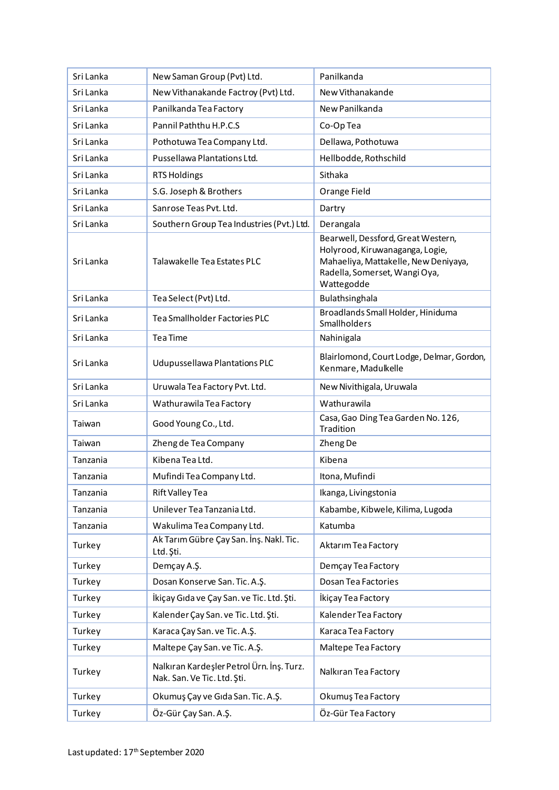| Sri Lanka | New Saman Group (Pvt) Ltd.                                               | Panilkanda                                                                                                                                                   |
|-----------|--------------------------------------------------------------------------|--------------------------------------------------------------------------------------------------------------------------------------------------------------|
| Sri Lanka | New Vithanakande Factroy (Pvt) Ltd.                                      | New Vithanakande                                                                                                                                             |
| Sri Lanka | Panilkanda Tea Factory                                                   | New Panilkanda                                                                                                                                               |
| Sri Lanka | Pannil Paththu H.P.C.S                                                   | Co-Op Tea                                                                                                                                                    |
| Sri Lanka | Pothotuwa Tea Company Ltd.                                               | Dellawa, Pothotuwa                                                                                                                                           |
| Sri Lanka | Pussellawa Plantations Ltd.                                              | Hellbodde, Rothschild                                                                                                                                        |
| Sri Lanka | <b>RTS Holdings</b>                                                      | Sithaka                                                                                                                                                      |
| Sri Lanka | S.G. Joseph & Brothers                                                   | Orange Field                                                                                                                                                 |
| Sri Lanka | Sanrose Teas Pvt. Ltd.                                                   | Dartry                                                                                                                                                       |
| Sri Lanka | Southern Group Tea Industries (Pvt.) Ltd.                                | Derangala                                                                                                                                                    |
| Sri Lanka | Talawakelle Tea Estates PLC                                              | Bearwell, Dessford, Great Western,<br>Holyrood, Kiruwanaganga, Logie,<br>Mahaeliya, Mattakelle, New Deniyaya,<br>Radella, Somerset, Wangi Oya,<br>Wattegodde |
| Sri Lanka | Tea Select (Pvt) Ltd.                                                    | Bulathsinghala                                                                                                                                               |
| Sri Lanka | Tea Smallholder Factories PLC                                            | Broadlands Small Holder, Hiniduma<br>Smallholders                                                                                                            |
| Sri Lanka | Tea Time                                                                 | Nahinigala                                                                                                                                                   |
| Sri Lanka | Udupussellawa Plantations PLC                                            | Blairlomond, Court Lodge, Delmar, Gordon,<br>Kenmare, Madulkelle                                                                                             |
| Sri Lanka | Uruwala Tea Factory Pvt. Ltd.                                            | New Nivithigala, Uruwala                                                                                                                                     |
| Sri Lanka | Wathurawila Tea Factory                                                  | Wathurawila                                                                                                                                                  |
| Taiwan    | Good Young Co., Ltd.                                                     | Casa, Gao Ding Tea Garden No. 126,<br>Tradition                                                                                                              |
| Taiwan    | Zheng de Tea Company                                                     | Zheng De                                                                                                                                                     |
| Tanzania  | Kibena Tea Ltd.                                                          | Kibena                                                                                                                                                       |
| Tanzania  | Mufindi Tea Company Ltd.                                                 | Itona, Mufindi                                                                                                                                               |
| Tanzania  | <b>Rift Valley Tea</b>                                                   | Ikanga, Livingstonia                                                                                                                                         |
| Tanzania  | Unilever Tea Tanzania Ltd.                                               | Kabambe, Kibwele, Kilima, Lugoda                                                                                                                             |
| Tanzania  | Wakulima Tea Company Ltd.                                                | Katumba                                                                                                                                                      |
| Turkey    | Ak Tarım Gübre Çay San. İnş. Nakl. Tic.<br>Ltd. Şti.                     | Aktarım Tea Factory                                                                                                                                          |
| Turkey    | Demçay A.Ş.                                                              | Demçay Tea Factory                                                                                                                                           |
| Turkey    | Dosan Konserve San. Tic. A.Ş.                                            | Dosan Tea Factories                                                                                                                                          |
| Turkey    | İkiçay Gıda ve Çay San. ve Tic. Ltd. Şti.                                | İkiçay Tea Factory                                                                                                                                           |
| Turkey    | Kalender Çay San. ve Tic. Ltd. Şti.                                      | Kalender Tea Factory                                                                                                                                         |
| Turkey    | Karaca Çay San. ve Tic. A.Ş.                                             | Karaca Tea Factory                                                                                                                                           |
| Turkey    | Maltepe Çay San. ve Tic. A.Ş.                                            | Maltepe Tea Factory                                                                                                                                          |
| Turkey    | Nalkıran Kardeşler Petrol Ürn. İnş. Turz.<br>Nak. San. Ve Tic. Ltd. Şti. | Nalkıran Tea Factory                                                                                                                                         |
| Turkey    | Okumuş Çay ve Gıda San. Tic. A.Ş.                                        | Okumuş Tea Factory                                                                                                                                           |
| Turkey    | Öz-Gür Çay San. A.Ş.                                                     | Öz-Gür Tea Factory                                                                                                                                           |